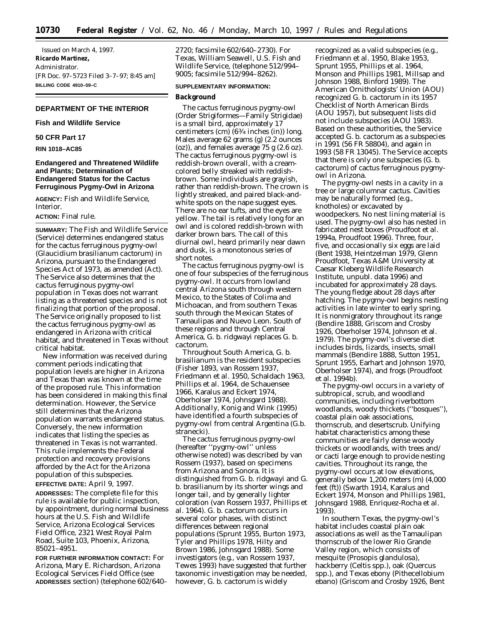Issued on March 4, 1997. **Ricardo Martinez,** *Administrator.* [FR Doc. 97–5723 Filed 3–7–97; 8:45 am] **BILLING CODE 4910–59–C**

# **DEPARTMENT OF THE INTERIOR**

## **Fish and Wildlife Service**

## **50 CFR Part 17**

**RIN 1018–AC85**

# **Endangered and Threatened Wildlife and Plants; Determination of Endangered Status for the Cactus Ferruginous Pygmy-Owl in Arizona**

**AGENCY:** Fish and Wildlife Service, Interior.

### **ACTION:** Final rule.

**SUMMARY:** The Fish and Wildlife Service (Service) determines endangered status for the cactus ferruginous pygmy-owl (*Glaucidium brasilianum cactorum*) in Arizona, pursuant to the Endangered Species Act of 1973, as amended (Act). The Service also determines that the cactus ferruginous pygmy-owl population in Texas does not warrant listing as a threatened species and is not finalizing that portion of the proposal. The Service originally proposed to list the cactus ferruginous pygmy-owl as endangered in Arizona with critical habitat, and threatened in Texas without critical habitat.

New information was received during comment periods indicating that population levels are higher in Arizona and Texas than was known at the time of the proposed rule. This information has been considered in making this final determination. However, the Service still determines that the Arizona population warrants endangered status. Conversely, the new information indicates that listing the species as threatened in Texas is not warranted. This rule implements the Federal protection and recovery provisions afforded by the Act for the Arizona population of this subspecies.

**EFFECTIVE DATE:** April 9, 1997. **ADDRESSES:** The complete file for this rule is available for public inspection, by appointment, during normal business hours at the U.S. Fish and Wildlife Service, Arizona Ecological Services Field Office, 2321 West Royal Palm Road, Suite 103, Phoenix, Arizona, 85021–4951.

**FOR FURTHER INFORMATION CONTACT:** For Arizona, Mary E. Richardson, Arizona Ecological Services Field Office (see **ADDRESSES** section) (telephone 602/640– 2720; facsimile 602/640–2730). For Texas, William Seawell, U.S. Fish and Wildlife Service, (telephone 512/994– 9005; facsimile 512/994–8262).

# **SUPPLEMENTARY INFORMATION:**

#### **Background**

The cactus ferruginous pygmy-owl (Order Strigiformes—Family Strigidae) is a small bird, approximately 17 centimeters (cm) (63⁄4 inches (in)) long. Males average 62 grams (g) (2.2 ounces (oz)), and females average 75 g (2.6 oz). The cactus ferruginous pygmy-owl is reddish-brown overall, with a creamcolored belly streaked with reddishbrown. Some individuals are grayish, rather than reddish-brown. The crown is lightly streaked, and paired black-andwhite spots on the nape suggest eyes. There are no ear tufts, and the eyes are yellow. The tail is relatively long for an owl and is colored reddish-brown with darker brown bars. The call of this diurnal owl, heard primarily near dawn and dusk, is a monotonous series of short notes.

The cactus ferruginous pygmy-owl is one of four subspecies of the ferruginous pygmy-owl. It occurs from lowland central Arizona south through western Mexico, to the States of Colima and Michoacan, and from southern Texas south through the Mexican States of Tamaulipas and Nuevo Leon. South of these regions and through Central America, *G. b. ridgwayi* replaces *G. b. cactorum.*

Throughout South America, *G. b. brasilianum* is the resident subspecies (Fisher 1893, van Rossem 1937, Friedmann *et al.* 1950, Schaldach 1963, Phillips *et al.* 1964, de Schauensee 1966, Karalus and Eckert 1974, Oberholser 1974, Johnsgard 1988). Additionally, Konig and Wink (1995) have identified a fourth subspecies of pygmy-owl from central Argentina (*G.b. stranecki*).

The cactus ferruginous pygmy-owl (hereafter ''pygmy-owl'' unless otherwise noted) was described by van Rossem (1937), based on specimens from Arizona and Sonora. It is distinguished from *G. b. ridgwayi* and *G. b. brasilianum* by its shorter wings and longer tail, and by generally lighter coloration (van Rossem 1937, Phillips *et al.* 1964). *G. b. cactorum* occurs in several color phases, with distinct differences between regional populations (Sprunt 1955, Burton 1973, Tyler and Phillips 1978, Hilty and Brown 1986, Johnsgard 1988). Some investigators (e.g., van Rossem 1937, Tewes 1993) have suggested that further taxonomic investigation may be needed, however, *G. b. cactorum* is widely

recognized as a valid subspecies (e.g., Friedmann *et al.* 1950, Blake 1953, Sprunt 1955, Phillips *et al.* 1964, Monson and Phillips 1981, Millsap and Johnson 1988, Binford 1989). The American Ornithologists' Union (AOU) recognized *G. b. cactorum* in its 1957 Checklist of North American Birds (AOU 1957), but subsequent lists did not include subspecies (AOU 1983). Based on these authorities, the Service accepted *G. b. cactorum* as a subspecies in 1991 (56 FR 58804), and again in 1993 (58 FR 13045). The Service accepts that there is only one subspecies (*G. b. cactorum*) of cactus ferruginous pygmyowl in Arizona.

The pygmy-owl nests in a cavity in a tree or large columnar cactus. Cavities may be naturally formed (e.g., knotholes) or excavated by woodpeckers. No nest lining material is used. The pygmy-owl also has nested in fabricated nest boxes (Proudfoot *et al.* 1994a, Proudfoot 1996). Three, four, five, and occasionally six eggs are laid (Bent 1938, Heintzelman 1979, Glenn Proudfoot, Texas A&M University at Caesar Kleberg Wildlife Research Institute, unpubl. data 1996) and incubated for approximately 28 days. The young fledge about 28 days after hatching. The pygmy-owl begins nesting activities in late winter to early spring. It is nonmigratory throughout its range (Bendire 1888, Griscom and Crosby 1926, Oberholser 1974, Johnson et al. 1979). The pygmy-owl's diverse diet includes birds, lizards, insects, small mammals (Bendire 1888, Sutton 1951, Sprunt 1955, Earhart and Johnson 1970, Oberholser 1974), and frogs (Proudfoot *et al.* 1994b).

The pygmy-owl occurs in a variety of subtropical, scrub, and woodland communities, including riverbottom woodlands, woody thickets (''bosques''), coastal plain oak associations, thornscrub, and desertscrub. Unifying habitat characteristics among these communities are fairly dense woody thickets or woodlands, with trees and/ or cacti large enough to provide nesting cavities. Throughout its range, the pygmy-owl occurs at low elevations, generally below 1,200 meters (m) (4,000 feet (ft)) (Swarth 1914, Karalus and Eckert 1974, Monson and Phillips 1981, Johnsgard 1988, Enriquez-Rocha *et al.* 1993).

In southern Texas, the pygmy-owl's habitat includes coastal plain oak associations as well as the Tamaulipan thornscrub of the lower Rio Grande Valley region, which consists of mesquite (*Prosopis glandulosa*), hackberry (*Celtis* spp.), oak (*Quercus* spp.), and Texas ebony (*Pithecellobium ebano*) (Griscom and Crosby 1926, Bent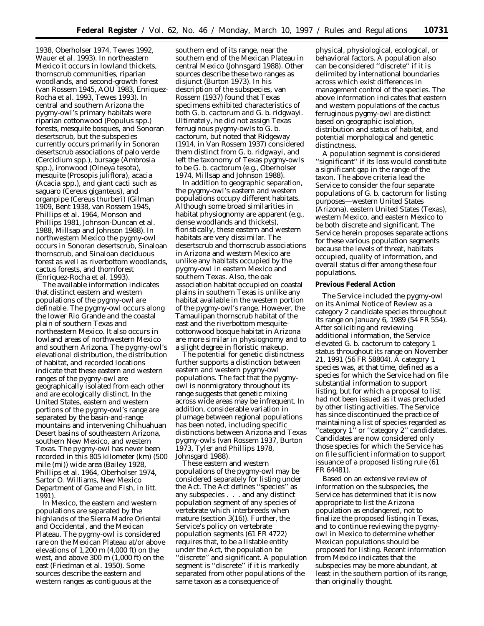1938, Oberholser 1974, Tewes 1992, Wauer *et al.* 1993). In northeastern Mexico it occurs in lowland thickets, thornscrub communities, riparian woodlands, and second-growth forest (van Rossem 1945, AOU 1983, Enriquez-Rocha *et al.* 1993, Tewes 1993). In central and southern Arizona the pygmy-owl's primary habitats were riparian cottonwood (*Populus* spp.) forests, mesquite bosques, and Sonoran desertscrub, but the subspecies currently occurs primarily in Sonoran desertscrub associations of palo verde (*Cercidium* spp.), bursage (*Ambrosia* spp.), ironwood (*Olneya tesota*), mesquite (*Prosopis juliflora*), acacia (*Acacia* spp.), and giant cacti such as saguaro (*Cereus giganteus*), and organpipe (*Cereus thurberi*) (Gilman 1909, Bent 1938, van Rossem 1945, Phillips *et al.* 1964, Monson and Phillips 1981, Johnson-Duncan *et al.* 1988, Millsap and Johnson 1988). In northwestern Mexico the pygmy-owl occurs in Sonoran desertscrub, Sinaloan thornscrub, and Sinaloan deciduous forest as well as riverbottom woodlands, cactus forests, and thornforest (Enriquez-Rocha *et al.* 1993).

The available information indicates that distinct eastern and western populations of the pygmy-owl are definable. The pygmy-owl occurs along the lower Rio Grande and the coastal plain of southern Texas and northeastern Mexico. It also occurs in lowland areas of northwestern Mexico and southern Arizona. The pygmy-owl's elevational distribution, the distribution of habitat, and recorded locations indicate that these eastern and western ranges of the pygmy-owl are geographically isolated from each other and are ecologically distinct. In the United States, eastern and western portions of the pygmy-owl's range are separated by the basin-and-range mountains and intervening Chihuahuan Desert basins of southeastern Arizona, southern New Mexico, and western Texas. The pygmy-owl has never been recorded in this 805 kilometer (km) (500 mile (mi)) wide area (Bailey 1928, Phillips *et al.* 1964, Oberholser 1974, Sartor O. Williams, New Mexico Department of Game and Fish, *in litt.* 1991).

In Mexico, the eastern and western populations are separated by the highlands of the Sierra Madre Oriental and Occidental, and the Mexican Plateau. The pygmy-owl is considered rare on the Mexican Plateau at/or above elevations of 1,200 m (4,000 ft) on the west, and above 300 m (1,000 ft) on the east (Friedman *et al*. 1950). Some sources describe the eastern and western ranges as contiguous at the

southern end of its range, near the southern end of the Mexican Plateau in central Mexico (Johnsgard 1988). Other sources describe these two ranges as disjunct (Burton 1973). In his description of the subspecies, van Rossem (1937) found that Texas specimens exhibited characteristics of both *G. b. cactorum* and *G. b. ridgwayi.* Ultimately, he did not assign Texas ferruginous pygmy-owls to *G. b. cactorum,* but noted that Ridgeway (1914, in Van Rossem 1937) considered them distinct from *G. b. ridgwayi,* and left the taxonomy of Texas pygmy-owls to be *G. b. cactorum* (e.g., Oberholser 1974, Millsap and Johnson 1988).

In addition to geographic separation, the pygmy-owl's eastern and western populations occupy different habitats. Although some broad similarities in habitat physiognomy are apparent (e.g., dense woodlands and thickets), floristically, these eastern and western habitats are very dissimilar. The desertscrub and thornscrub associations in Arizona and western Mexico are unlike any habitats occupied by the pygmy-owl in eastern Mexico and southern Texas. Also, the oak association habitat occupied on coastal plains in southern Texas is unlike any habitat available in the western portion of the pygmy-owl's range. However, the Tamaulipan thornscrub habitat of the east and the riverbottom mesquitecottonwood bosque habitat in Arizona are more similar in physiognomy and to a slight degree in floristic makeup.

The potential for genetic distinctness further supports a distinction between eastern and western pygmy-owl populations. The fact that the pygmyowl is nonmigratory throughout its range suggests that genetic mixing across wide areas may be infrequent. In addition, considerable variation in plumage between regional populations has been noted, including specific distinctions between Arizona and Texas pygmy-owls (van Rossem 1937, Burton 1973, Tyler and Phillips 1978, Johnsgard 1988).

These eastern and western populations of the pygmy-owl may be considered separately for listing under the Act. The Act defines ''species'' as any subspecies . . . and any distinct population segment of any species of vertebrate which interbreeds when mature (section 3(16)). Further, the Service's policy on vertebrate population segments (61 FR 4722) requires that, to be a listable entity under the Act, the population be ''discrete'' and significant. A population segment is ''discrete'' if it is markedly separated from other populations of the same taxon as a consequence of

physical, physiological, ecological, or behavioral factors. A population also can be considered ''discrete'' if it is delimited by international boundaries across which exist differences in management control of the species. The above information indicates that eastern and western populations of the cactus ferruginous pygmy-owl are distinct based on geographic isolation, distribution and status of habitat, and potential morphological and genetic distinctness.

A population segment is considered ''significant'' if its loss would constitute a significant gap in the range of the taxon. The above criteria lead the Service to consider the four separate populations of *G. b. cactorum* for listing purposes—western United States (Arizona), eastern United States (Texas), western Mexico, and eastern Mexico to be both discrete and significant. The Service herein proposes separate actions for these various population segments because the levels of threat, habitats occupied, quality of information, and overall status differ among these four populations.

#### **Previous Federal Action**

The Service included the pygmy-owl on its Animal Notice of Review as a category 2 candidate species throughout its range on January 6, 1989 (54 FR 554). After soliciting and reviewing additional information, the Service elevated *G. b. cactorum* to category 1 status throughout its range on November 21, 1991 (56 FR 58804). A category 1 species was, at that time, defined as a species for which the Service had on file substantial information to support listing, but for which a proposal to list had not been issued as it was precluded by other listing activities. The Service has since discontinued the practice of maintaining a list of species regarded as ''category 1'' or ''category 2'' candidates. Candidates are now considered only those species for which the Service has on file sufficient information to support issuance of a proposed listing rule (61 FR 64481).

Based on an extensive review of information on the subspecies, the Service has determined that it is now appropriate to list the Arizona population as endangered, not to finalize the proposed listing in Texas, and to continue reviewing the pygmyowl in Mexico to determine whether Mexican populations should be proposed for listing. Recent information from Mexico indicates that the subspecies may be more abundant, at least in the southern portion of its range, than originally thought.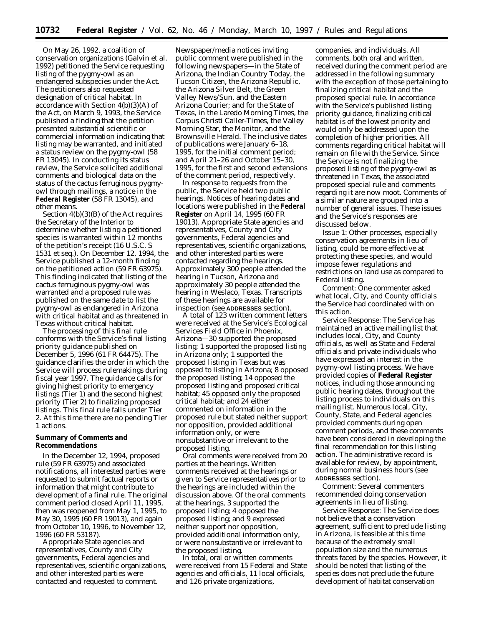On May 26, 1992, a coalition of conservation organizations (Galvin *et al.* 1992) petitioned the Service requesting listing of the pygmy-owl as an endangered subspecies under the Act. The petitioners also requested designation of critical habitat. In accordance with Section 4(b)(3)(A) of the Act, on March 9, 1993, the Service published a finding that the petition presented substantial scientific or commercial information indicating that listing may be warranted, and initiated a status review on the pygmy-owl (58 FR 13045). In conducting its status review, the Service solicited additional comments and biological data on the status of the cactus ferruginous pygmyowl through mailings, a notice in the **Federal Register** (58 FR 13045), and other means.

Section 4(b)(3)(B) of the Act requires the Secretary of the Interior to determine whether listing a petitioned species is warranted within 12 months of the petition's receipt (16 U.S.C. S 1531 *et seq.*). On December 12, 1994, the Service published a 12-month finding on the petitioned action (59 FR 63975). This finding indicated that listing of the cactus ferruginous pygmy-owl was warranted and a proposed rule was published on the same date to list the pygmy-owl as endangered in Arizona with critical habitat and as threatened in Texas without critical habitat.

The processing of this final rule conforms with the Service's final listing priority guidance published on December 5, 1996 (61 FR 64475). The guidance clarifies the order in which the Service will process rulemakings during fiscal year 1997. The guidance calls for giving highest priority to emergency listings (Tier 1) and the second highest priority (Tier 2) to finalizing proposed listings. This final rule falls under Tier 2. At this time there are no pending Tier 1 actions.

### **Summary of Comments and Recommendations**

In the December 12, 1994, proposed rule (59 FR 63975) and associated notifications, all interested parties were requested to submit factual reports or information that might contribute to development of a final rule. The original comment period closed April 11, 1995, then was reopened from May 1, 1995, to May 30, 1995 (60 FR 19013), and again from October 10, 1996, to November 12, 1996 (60 FR 53187).

Appropriate State agencies and representatives, County and City governments, Federal agencies and representatives, scientific organizations, and other interested parties were contacted and requested to comment.

Newspaper/media notices inviting public comment were published in the following newspapers—in the State of Arizona, the Indian Country Today, the Tucson Citizen, the Arizona Republic, the Arizona Silver Belt, the Green Valley News/Sun, and the Eastern Arizona Courier; and for the State of Texas, in the Laredo Morning Times, the Corpus Christi Caller-Times, the Valley Morning Star, the Monitor, and the Brownsville Herald. The inclusive dates of publications were January 6–18, 1995, for the initial comment period; and April 21–26 and October 15–30, 1995, for the first and second extensions of the comment period, respectively.

In response to requests from the public, the Service held two public hearings. Notices of hearing dates and locations were published in the **Federal Register** on April 14, 1995 (60 FR 19013). Appropriate State agencies and representatives, County and City governments, Federal agencies and representatives, scientific organizations, and other interested parties were contacted regarding the hearings. Approximately 300 people attended the hearing in Tucson, Arizona and approximately 30 people attended the hearing in Weslaco, Texas. Transcripts of these hearings are available for inspection (see **ADDRESSES** section).

A total of 123 written comment letters were received at the Service's Ecological Services Field Office in Phoenix, Arizona—30 supported the proposed listing; 1 supported the proposed listing in Arizona only; 1 supported the proposed listing in Texas but was opposed to listing in Arizona; 8 opposed the proposed listing; 14 opposed the proposed listing and proposed critical habitat; 45 opposed only the proposed critical habitat; and 24 either commented on information in the proposed rule but stated neither support nor opposition, provided additional information only, or were nonsubstantive or irrelevant to the proposed listing.

Oral comments were received from 20 parties at the hearings. Written comments received at the hearings or given to Service representatives prior to the hearings are included within the discussion above. Of the oral comments at the hearings, 3 supported the proposed listing; 4 opposed the proposed listing; and 9 expressed neither support nor opposition, provided additional information only, or were nonsubstantive or irrelevant to the proposed listing.

In total, oral or written comments were received from 15 Federal and State agencies and officials, 11 local officials, and 126 private organizations,

companies, and individuals. All comments, both oral and written, received during the comment period are addressed in the following summary with the exception of those pertaining to finalizing critical habitat and the proposed special rule. In accordance with the Service's published listing priority guidance, finalizing critical habitat is of the lowest priority and would only be addressed upon the completion of higher priorities. All comments regarding critical habitat will remain on file with the Service. Since the Service is not finalizing the proposed listing of the pygmy-owl as threatened in Texas, the associated proposed special rule and comments regarding it are now moot. Comments of a similar nature are grouped into a number of general issues. These issues and the Service's responses are discussed below.

*Issue 1:* Other processes, especially conservation agreements in lieu of listing, could be more effective at protecting these species, and would impose fewer regulations and restrictions on land use as compared to Federal listing.

*Comment:* One commenter asked what local, City, and County officials the Service had coordinated with on this action.

*Service Response:* The Service has maintained an active mailing list that includes local, City, and County officials, as well as State and Federal officials and private individuals who have expressed an interest in the pygmy-owl listing process. We have provided copies of **Federal Register** notices, including those announcing public hearing dates, throughout the listing process to individuals on this mailing list. Numerous local, City, County, State, and Federal agencies provided comments during open comment periods, and these comments have been considered in developing the final recommendation for this listing action. The administrative record is available for review, by appointment, during normal business hours (see **ADDRESSES** section).

*Comment:* Several commenters recommended doing conservation agreements in lieu of listing.

*Service Response:* The Service does not believe that a conservation agreement, sufficient to preclude listing in Arizona, is feasible at this time because of the extremely small population size and the numerous threats faced by the species. However, it should be noted that listing of the species does not preclude the future development of habitat conservation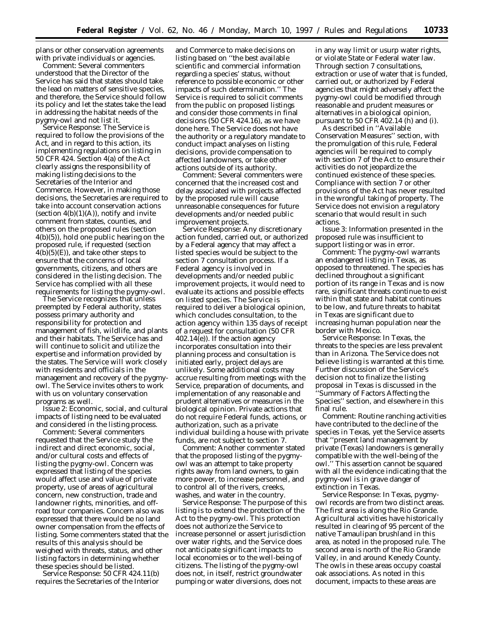plans or other conservation agreements with private individuals or agencies.

*Comment:* Several commenters understood that the Director of the Service has said that states should take the lead on matters of sensitive species, and therefore, the Service should follow its policy and let the states take the lead in addressing the habitat needs of the pygmy-owl and not list it.

*Service Response:* The Service is required to follow the provisions of the Act, and in regard to this action, its implementing regulations on listing in 50 CFR 424. Section 4(a) of the Act clearly assigns the responsibility of making listing decisions to the Secretaries of the Interior and Commerce. However, in making those decisions, the Secretaries are required to take into account conservation actions (section  $4(b)(1)(A)$ ), notify and invite comment from states, counties, and others on the proposed rules (section 4(b)(5)), hold one public hearing on the proposed rule, if requested (section  $4(b)(5)(E)$ , and take other steps to ensure that the concerns of local governments, citizens, and others are considered in the listing decision. The Service has complied with all these requirements for listing the pygmy-owl.

The Service recognizes that unless preempted by Federal authority, states possess primary authority and responsibility for protection and management of fish, wildlife, and plants and their habitats. The Service has and will continue to solicit and utilize the expertise and information provided by the states. The Service will work closely with residents and officials in the management and recovery of the pygmyowl. The Service invites others to work with us on voluntary conservation programs as well.

*Issue 2:* Economic, social, and cultural impacts of listing need to be evaluated and considered in the listing process.

*Comment:* Several commenters requested that the Service study the indirect and direct economic, social, and/or cultural costs and effects of listing the pygmy-owl. Concern was expressed that listing of the species would affect use and value of private property, use of areas of agricultural concern, new construction, trade and landowner rights, minorities, and offroad tour companies. Concern also was expressed that there would be no land owner compensation from the effects of listing. Some commenters stated that the results of this analysis should be weighed with threats, status, and other listing factors in determining whether these species should be listed.

*Service Response:* 50 CFR 424.11(b) requires the Secretaries of the Interior

and Commerce to make decisions on listing based on ''the best available scientific and commercial information regarding a species' status, without reference to possible economic or other impacts of such determination.'' The Service is required to solicit comments from the public on proposed listings and consider those comments in final decisions (50 CFR 424.16), as we have done here. The Service does not have the authority or a regulatory mandate to conduct impact analyses on listing decisions, provide compensation to affected landowners, or take other actions outside of its authority.

*Comment:* Several commenters were concerned that the increased cost and delay associated with projects affected by the proposed rule will cause unreasonable consequences for future developments and/or needed public improvement projects.

*Service Response:* Any discretionary action funded, carried out, or authorized by a Federal agency that may affect a listed species would be subject to the section 7 consultation process. If a Federal agency is involved in developments and/or needed public improvement projects, it would need to evaluate its actions and possible effects on listed species. The Service is required to deliver a biological opinion, which concludes consultation, to the action agency within 135 days of receipt of a request for consultation (50 CFR 402.14(e)). If the action agency incorporates consultation into their planning process and consultation is initiated early, project delays are unlikely. Some additional costs may accrue resulting from meetings with the Service, preparation of documents, and implementation of any reasonable and prudent alternatives or measures in the biological opinion. Private actions that do not require Federal funds, actions, or authorization, such as a private individual building a house with private funds, are not subject to section 7.

*Comment:* Another commenter stated that the proposed listing of the pygmyowl was an attempt to take property rights away from land owners, to gain more power, to increase personnel, and to control all of the rivers, creeks, washes, and water in the country.

*Service Response:* The purpose of this listing is to extend the protection of the Act to the pygmy-owl. This protection does not authorize the Service to increase personnel or assert jurisdiction over water rights, and the Service does not anticipate significant impacts to local economies or to the well-being of citizens. The listing of the pygmy-owl does not, in itself, restrict groundwater pumping or water diversions, does not

in any way limit or usurp water rights, or violate State or Federal water law. Through section 7 consultations, extraction or use of water that is funded, carried out, or authorized by Federal agencies that might adversely affect the pygmy-owl could be modified through reasonable and prudent measures or alternatives in a biological opinion, pursuant to 50 CFR  $402.14$  (h) and (i).

As described in ''Available Conservation Measures'' section, with the promulgation of this rule, Federal agencies will be required to comply with section 7 of the Act to ensure their activities do not jeopardize the continued existence of these species. Compliance with section 7 or other provisions of the Act has never resulted in the wrongful taking of property. The Service does not envision a regulatory scenario that would result in such actions.

*Issue 3:* Information presented in the proposed rule was insufficient to support listing or was in error.

*Comment:* The pygmy-owl warrants an endangered listing in Texas, as opposed to threatened. The species has declined throughout a significant portion of its range in Texas and is now rare, significant threats continue to exist within that state and habitat continues to be low, and future threats to habitat in Texas are significant due to increasing human population near the border with Mexico.

*Service Response:* In Texas, the threats to the species are less prevalent than in Arizona. The Service does not believe listing is warranted at this time. Further discussion of the Service's decision not to finalize the listing proposal in Texas is discussed in the ''Summary of Factors Affecting the Species'' section, and elsewhere in this final rule.

*Comment:* Routine ranching activities have contributed to the decline of the species in Texas, yet the Service asserts that ''present land management by private (Texas) landowners is generally compatible with the well-being of the owl.'' This assertion cannot be squared with all the evidence indicating that the pygmy-owl is in grave danger of extinction in Texas.

*Service Response:* In Texas, pygmyowl records are from two distinct areas. The first area is along the Rio Grande. Agricultural activities have historically resulted in clearing of 95 percent of the native Tamaulipan brushland in this area, as noted in the proposed rule. The second area is north of the Rio Grande Valley, in and around Kenedy County. The owls in these areas occupy coastal oak associations. As noted in this document, impacts to these areas are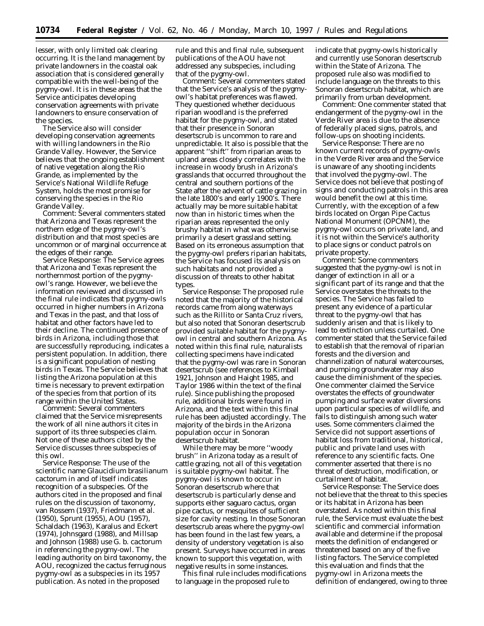lesser, with only limited oak clearing occurring. It is the land management by private landowners in the coastal oak association that is considered generally compatible with the well-being of the pygmy-owl. It is in these areas that the Service anticipates developing conservation agreements with private landowners to ensure conservation of the species.

The Service also will consider developing conservation agreements with willing landowners in the Rio Grande Valley. However, the Service believes that the ongoing establishment of native vegetation along the Rio Grande, as implemented by the Service's National Wildlife Refuge System, holds the most promise for conserving the species in the Rio Grande Valley.

*Comment:* Several commenters stated that Arizona and Texas represent the northern edge of the pygmy-owl's distribution and that most species are uncommon or of marginal occurrence at the edges of their range.

*Service Response:* The Service agrees that Arizona and Texas represent the northernmost portion of the pygmyowl's range. However, we believe the information reviewed and discussed in the final rule indicates that pygmy-owls occurred in higher numbers in Arizona and Texas in the past, and that loss of habitat and other factors have led to their decline. The continued presence of birds in Arizona, including those that are successfully reproducing, indicates a persistent population. In addition, there is a significant population of nesting birds in Texas. The Service believes that listing the Arizona population at this time is necessary to prevent extirpation of the species from that portion of its range within the United States.

*Comment:* Several commenters claimed that the Service misrepresents the work of all nine authors it cites in support of its three subspecies claim. Not one of these authors cited by the Service discusses three subspecies of this owl.

*Service Response:* The use of the scientific name *Glaucidium brasilianum cactorum* in and of itself indicates recognition of a subspecies. Of the authors cited in the proposed and final rules on the discussion of taxonomy, van Rossem (1937), Friedmann *et al.* (1950), Sprunt (1955), AOU (1957), Schaldach (1963), Karalus and Eckert (1974), Johnsgard (1988), and Millsap and Johnson (1988) use *G. b. cactorum* in referencing the pygmy-owl. The leading authority on bird taxonomy, the AOU, recognized the cactus ferruginous pygmy-owl as a subspecies in its 1957 publication. As noted in the proposed

rule and this and final rule, subsequent publications of the AOU have not addressed any subspecies, including that of the pygmy-owl.

*Comment:* Several commenters stated that the Service's analysis of the pygmyowl's habitat preferences was flawed. They questioned whether deciduous riparian woodland is the preferred habitat for the pygmy-owl, and stated that their presence in Sonoran desertscrub is uncommon to rare and unpredictable. It also is possible that the apparent ''shift'' from riparian areas to upland areas closely correlates with the increase in woody brush in Arizona's grasslands that occurred throughout the central and southern portions of the State after the advent of cattle grazing in the late 1800's and early 1900's. There actually may be more suitable habitat now than in historic times when the riparian areas represented the only brushy habitat in what was otherwise primarily a desert grassland setting. Based on its erroneous assumption that the pygmy-owl prefers riparian habitats, the Service has focused its analysis on such habitats and not provided a discussion of threats to other habitat types.

*Service Response:* The proposed rule noted that the majority of the historical records came from along waterways such as the Rillito or Santa Cruz rivers, but also noted that Sonoran desertscrub provided suitable habitat for the pygmyowl in central and southern Arizona. As noted within this final rule, naturalists collecting specimens have indicated that the pygmy-owl was rare in Sonoran desertscrub (see references to Kimball 1921, Johnson and Haight 1985, and Taylor 1986 within the text of the final rule). Since publishing the proposed rule, additional birds were found in Arizona, and the text within this final rule has been adjusted accordingly. The majority of the birds in the Arizona population occur in Sonoran desertscrub habitat.

While there may be more ''woody brush'' in Arizona today as a result of cattle grazing, not all of this vegetation is suitable pygmy-owl habitat. The pygmy-owl is known to occur in Sonoran desertscrub where that desertscrub is particularly dense and supports either saguaro cactus, organ pipe cactus, or mesquites of sufficient size for cavity nesting. In those Sonoran desertscrub areas where the pygmy-owl has been found in the last few years, a density of understory vegetation is also present. Surveys have occurred in areas known to support this vegetation, with negative results in some instances.

This final rule includes modifications to language in the proposed rule to

indicate that pygmy-owls historically and currently use Sonoran desertscrub within the State of Arizona. The proposed rule also was modified to include language on the threats to this Sonoran desertscrub habitat, which are primarily from urban development.

*Comment:* One commenter stated that endangerment of the pygmy-owl in the Verde River area is due to the absence of federally placed signs, patrols, and follow-ups on shooting incidents.

*Service Response:* There are no known current records of pygmy-owls in the Verde River area and the Service is unaware of any shooting incidents that involved the pygmy-owl. The Service does not believe that posting of signs and conducting patrols in this area would benefit the owl at this time. Currently, with the exception of a few birds located on Organ Pipe Cactus National Monument (OPCNM), the pygmy-owl occurs on private land, and it is not within the Service's authority to place signs or conduct patrols on private property.

*Comment:* Some commenters suggested that the pygmy-owl is not in danger of extinction in all or a significant part of its range and that the Service overstates the threats to the species. The Service has failed to present any evidence of a particular threat to the pygmy-owl that has suddenly arisen and that is likely to lead to extinction unless curtailed. One commenter stated that the Service failed to establish that the removal of riparian forests and the diversion and channelization of natural watercourses, and pumping groundwater may also cause the diminishment of the species. One commenter claimed the Service overstates the effects of groundwater pumping and surface water diversions upon particular species of wildlife, and fails to distinguish among such water uses. Some commenters claimed the Service did not support assertions of habitat loss from traditional, historical, public and private land uses with reference to any scientific facts. One commenter asserted that there is no threat of destruction, modification, or curtailment of habitat.

*Service Response:* The Service does not believe that the threat to this species or its habitat in Arizona has been overstated. As noted within this final rule, the Service must evaluate the best scientific and commercial information available and determine if the proposal meets the definition of endangered or threatened based on any of the five listing factors. The Service completed this evaluation and finds that the pygmy-owl in Arizona meets the definition of endangered, owing to three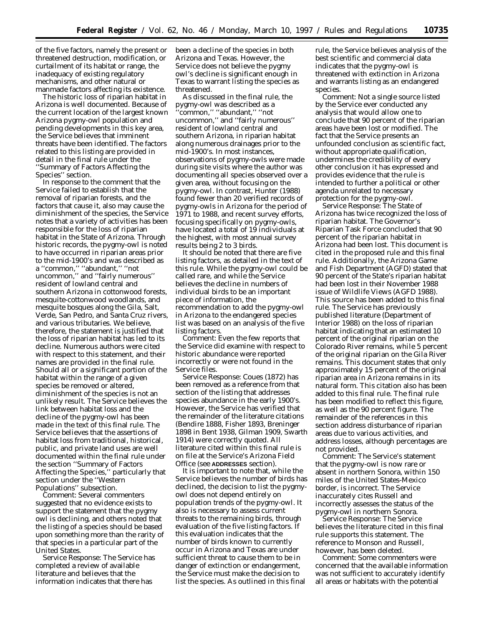of the five factors, namely the present or threatened destruction, modification, or curtailment of its habitat or range, the inadequacy of existing regulatory mechanisms, and other natural or manmade factors affecting its existence.

The historic loss of riparian habitat in Arizona is well documented. Because of the current location of the largest known Arizona pygmy-owl population and pending developments in this key area, the Service believes that imminent threats have been identified. The factors related to this listing are provided in detail in the final rule under the ''Summary of Factors Affecting the Species'' section.

In response to the comment that the Service failed to establish that the removal of riparian forests, and the factors that cause it, also may cause the diminishment of the species, the Service notes that a variety of activities has been responsible for the loss of riparian habitat in the State of Arizona. Through historic records, the pygmy-owl is noted to have occurred in riparian areas prior to the mid-1900's and was described as a ''common,'' ''abundant,'' ''not uncommon,'' and ''fairly numerous'' resident of lowland central and southern Arizona in cottonwood forests, mesquite-cottonwood woodlands, and mesquite bosques along the Gila, Salt, Verde, San Pedro, and Santa Cruz rivers, and various tributaries. We believe, therefore, the statement is justified that the loss of riparian habitat has led to its decline. Numerous authors were cited with respect to this statement, and their names are provided in the final rule. Should all or a significant portion of the habitat within the range of a given species be removed or altered, diminishment of the species is not an unlikely result. The Service believes the link between habitat loss and the decline of the pygmy-owl has been made in the text of this final rule. The Service believes that the assertions of habitat loss from traditional, historical, public, and private land uses are well documented within the final rule under the section ''Summary of Factors Affecting the Species,'' particularly that section under the ''Western Populations'' subsection.

*Comment:* Several commenters suggested that no evidence exists to support the statement that the pygmy owl is declining, and others noted that the listing of a species should be based upon something more than the rarity of that species in a particular part of the United States.

*Service Response:* The Service has completed a review of available literature and believes that the information indicates that there has

been a decline of the species in both Arizona and Texas. However, the Service does not believe the pygmy owl's decline is significant enough in Texas to warrant listing the species as threatened.

As discussed in the final rule, the pygmy-owl was described as a ''common,'' ''abundant,'' ''not uncommon,'' and ''fairly numerous'' resident of lowland central and southern Arizona, in riparian habitat along numerous drainages prior to the mid-1900's. In most instances, observations of pygmy-owls were made during site visits where the author was documenting all species observed over a given area, without focusing on the pygmy-owl. In contrast, Hunter (1988) found fewer than 20 verified records of pygmy-owls in Arizona for the period of 1971 to 1988, and recent survey efforts, focusing specifically on pygmy-owls, have located a total of 19 individuals at the highest, with most annual survey results being 2 to 3 birds.

It should be noted that there are five listing factors, as detailed in the text of this rule. While the pygmy-owl could be called rare, and while the Service believes the decline in numbers of individual birds to be an important piece of information, the recommendation to add the pygmy-owl in Arizona to the endangered species list was based on an analysis of the five listing factors.

*Comment:* Even the few reports that the Service did examine with respect to historic abundance were reported incorrectly or were not found in the Service files.

*Service Response:* Coues (1872) has been removed as a reference from that section of the listing that addresses species abundance in the early 1900's. However, the Service has verified that the remainder of the literature citations (Bendire 1888, Fisher 1893, Breninger 1898 *in* Bent 1938, Gilman 1909, Swarth 1914) were correctly quoted. All literature cited within this final rule is on file at the Service's Arizona Field Office (see **ADDRESSES** section).

It is important to note that, while the Service believes the number of birds has declined, the decision to list the pygmyowl does not depend entirely on population trends of the pygmy-owl. It also is necessary to assess current threats to the remaining birds, through evaluation of the five listing factors. If this evaluation indicates that the number of birds known to currently occur in Arizona and Texas are under sufficient threat to cause them to be in danger of extinction or endangerment, the Service must make the decision to list the species. As outlined in this final

rule, the Service believes analysis of the best scientific and commercial data indicates that the pygmy-owl is threatened with extinction in Arizona and warrants listing as an endangered species.

*Comment:* Not a single source listed by the Service ever conducted any analysis that would allow one to conclude that 90 percent of the riparian areas have been lost or modified. The fact that the Service presents an unfounded conclusion as scientific fact, without appropriate qualification, undermines the credibility of every other conclusion it has expressed and provides evidence that the rule is intended to further a political or other agenda unrelated to necessary protection for the pygmy-owl.

*Service Response:* The State of Arizona has twice recognized the loss of riparian habitat. The Governor's Riparian Task Force concluded that 90 percent of the riparian habitat in Arizona had been lost. This document is cited in the proposed rule and this final rule. Additionally, the Arizona Game and Fish Department (AGFD) stated that 90 percent of the State's riparian habitat had been lost in their November 1988 issue of Wildlife Views (AGFD 1988). This source has been added to this final rule. The Service has previously published literature (Department of Interior 1988) on the loss of riparian habitat indicating that an estimated 10 percent of the original riparian on the Colorado River remains, while 5 percent of the original riparian on the Gila River remains. This document states that only approximately 15 percent of the original riparian area in Arizona remains in its natural form. This citation also has been added to this final rule. The final rule has been modified to reflect this figure, as well as the 90 percent figure. The remainder of the references in this section address disturbance of riparian areas due to various activities, and address losses, although percentages are not provided.

*Comment:* The Service's statement that the pygmy-owl is now rare or absent in northern Sonora, within 150 miles of the United States-Mexico border, is incorrect. The Service inaccurately cites Russell and incorrectly assesses the status of the pygmy-owl in northern Sonora.

*Service Response:* The Service believes the literature cited in this final rule supports this statement. The reference to Monson and Russell, however, has been deleted.

*Comment:* Some commenters were concerned that the available information was not sufficient to accurately identify all areas or habitats with the potential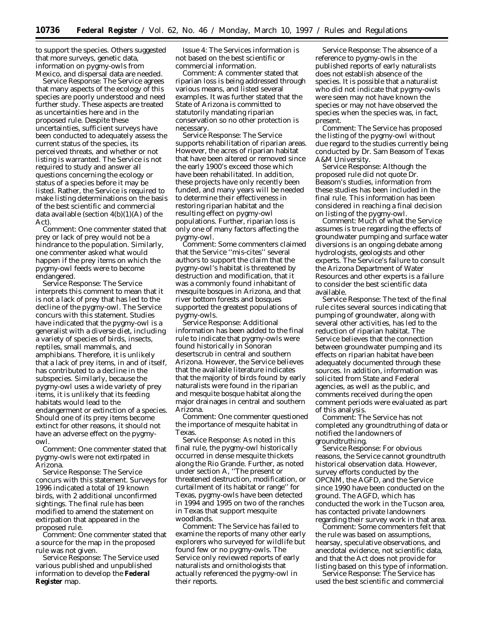to support the species. Others suggested that more surveys, genetic data, information on pygmy-owls from Mexico, and dispersal data are needed.

*Service Response:* The Service agrees that many aspects of the ecology of this species are poorly understood and need further study. These aspects are treated as uncertainties here and in the proposed rule. Despite these uncertainties, sufficient surveys have been conducted to adequately assess the current status of the species, its perceived threats, and whether or not listing is warranted. The Service is not required to study and answer all questions concerning the ecology or status of a species before it may be listed. Rather, the Service is required to make listing determinations on the basis of the best scientific and commercial data available (section  $4(b)(1)(A)$  of the Act).

*Comment:* One commenter stated that prey or lack of prey would not be a hindrance to the population. Similarly, one commenter asked what would happen if the prey items on which the pygmy-owl feeds were to become endangered.

*Service Response:* The Service interprets this comment to mean that it is not a lack of prey that has led to the decline of the pygmy-owl. The Service concurs with this statement. Studies have indicated that the pygmy-owl is a generalist with a diverse diet, including a variety of species of birds, insects, reptiles, small mammals, and amphibians. Therefore, it is unlikely that a lack of prey items, in and of itself, has contributed to a decline in the subspecies. Similarly, because the pygmy-owl uses a wide variety of prey items, it is unlikely that its feeding habitats would lead to the endangerment or extinction of a species. Should one of its prey items become extinct for other reasons, it should not have an adverse effect on the pygmyowl.

*Comment:* One commenter stated that pygmy-owls were not extirpated in Arizona.

*Service Response:* The Service concurs with this statement. Surveys for 1996 indicated a total of 19 known birds, with 2 additional unconfirmed sightings. The final rule has been modified to amend the statement on extirpation that appeared in the proposed rule.

*Comment:* One commenter stated that a source for the map in the proposed rule was not given.

*Service Response:* The Service used various published and unpublished information to develop the **Federal Register** map.

*Issue 4:* The Services information is not based on the best scientific or commercial information.

*Comment:* A commenter stated that riparian loss is being addressed through various means, and listed several examples. It was further stated that the State of Arizona is committed to statutorily mandating riparian conservation so no other protection is necessary.

*Service Response:* The Service supports rehabilitation of riparian areas. However, the acres of riparian habitat that have been altered or removed since the early 1900's exceed those which have been rehabilitated. In addition, these projects have only recently been funded, and many years will be needed to determine their effectiveness in restoring riparian habitat and the resulting effect on pygmy-owl populations. Further, riparian loss is only one of many factors affecting the pygmy-owl.

*Comment:* Some commenters claimed that the Service ''mis-cites'' several authors to support the claim that the pygmy-owl's habitat is threatened by destruction and modification, that it was a commonly found inhabitant of mesquite bosques in Arizona, and that river bottom forests and bosques supported the greatest populations of pygmy-owls.

*Service Response:* Additional information has been added to the final rule to indicate that pygmy-owls were found historically in Sonoran desertscrub in central and southern Arizona. However, the Service believes that the available literature indicates that the majority of birds found by early naturalists were found in the riparian and mesquite bosque habitat along the major drainages in central and southern Arizona.

*Comment:* One commenter questioned the importance of mesquite habitat in Texas.

*Service Response:* As noted in this final rule, the pygmy-owl historically occurred in dense mesquite thickets along the Rio Grande. Further, as noted under section A, ''The present or threatened destruction, modification, or curtailment of its habitat or range'' for Texas, pygmy-owls have been detected in 1994 and 1995 on two of the ranches in Texas that support mesquite woodlands.

*Comment:* The Service has failed to examine the reports of many other early explorers who surveyed for wildlife but found few or no pygmy-owls. The Service only reviewed reports of early naturalists and ornithologists that actually referenced the pygmy-owl in their reports.

*Service Response:* The absence of a reference to pygmy-owls in the published reports of early naturalists does not establish absence of the species. It is possible that a naturalist who did not indicate that pygmy-owls were seen may not have known the species or may not have observed the species when the species was, in fact, present.

*Comment:* The Service has proposed the listing of the pygmy-owl without due regard to the studies currently being conducted by Dr. Sam Beasom of Texas A&M University.

*Service Response:* Although the proposed rule did not quote Dr. Beasom's studies, information from these studies has been included in the final rule. This information has been considered in reaching a final decision on listing of the pygmy-owl.

*Comment:* Much of what the Service assumes is true regarding the effects of groundwater pumping and surface water diversions is an ongoing debate among hydrologists, geologists and other experts. The Service's failure to consult the Arizona Department of Water Resources and other experts is a failure to consider the best scientific data available.

*Service Response:* The text of the final rule cites several sources indicating that pumping of groundwater, along with several other activities, has led to the reduction of riparian habitat. The Service believes that the connection between groundwater pumping and its effects on riparian habitat have been adequately documented through these sources. In addition, information was solicited from State and Federal agencies, as well as the public, and comments received during the open comment periods were evaluated as part of this analysis.

*Comment:* The Service has not completed any groundtruthing of data or notified the landowners of groundtruthing.

*Service Response:* For obvious reasons, the Service cannot groundtruth historical observation data. However, survey efforts conducted by the OPCNM, the AGFD, and the Service since 1990 have been conducted on the ground. The AGFD, which has conducted the work in the Tucson area, has contacted private landowners regarding their survey work in that area.

*Comment:* Some commenters felt that the rule was based on assumptions, hearsay, speculative observations, and anecdotal evidence, not scientific data, and that the Act does not provide for listing based on this type of information.

*Service Response:* The Service has used the best scientific and commercial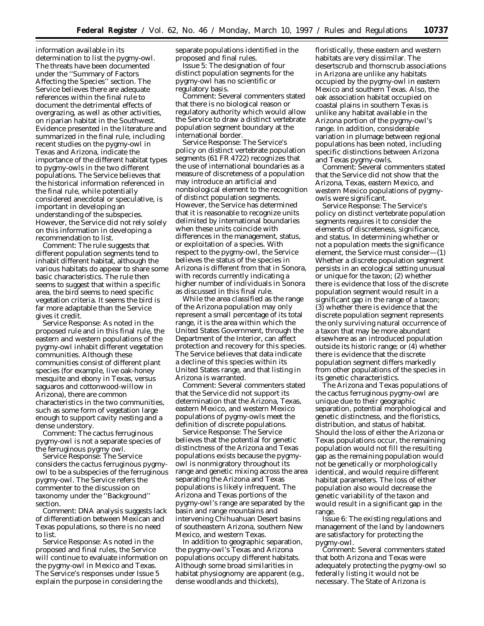information available in its determination to list the pygmy-owl. The threats have been documented under the ''Summary of Factors Affecting the Species'' section. The Service believes there are adequate references within the final rule to document the detrimental effects of overgrazing, as well as other activities, on riparian habitat in the Southwest. Evidence presented in the literature and summarized in the final rule, including recent studies on the pygmy-owl in Texas and Arizona, indicate the importance of the different habitat types to pygmy-owls in the two different populations. The Service believes that the historical information referenced in the final rule, while potentially considered anecdotal or speculative, is important in developing an understanding of the subspecies. However, the Service did not rely solely on this information in developing a recommendation to list.

*Comment:* The rule suggests that different population segments tend to inhabit different habitat, although the various habitats do appear to share some basic characteristics. The rule then seems to suggest that within a specific area, the bird seems to need specific vegetation criteria. It seems the bird is far more adaptable than the Service gives it credit.

*Service Response:* As noted in the proposed rule and in this final rule, the eastern and western populations of the pygmy-owl inhabit different vegetation communities. Although these communities consist of different plant species (for example, live oak-honey mesquite and ebony in Texas, versus saguaros and cottonwood-willow in Arizona), there are common characteristics in the two communities, such as some form of vegetation large enough to support cavity nesting and a dense understory.

*Comment:* The cactus ferruginous pygmy-owl is not a separate species of the ferruginous pygmy owl.

*Service Response:* The Service considers the cactus ferruginous pygmyowl to be a subspecies of the ferruginous pygmy-owl. The Service refers the commenter to the discussion on taxonomy under the ''Background'' section.

*Comment:* DNA analysis suggests lack of differentiation between Mexican and Texas populations, so there is no need to list.

*Service Response:* As noted in the proposed and final rules, the Service will continue to evaluate information on the pygmy-owl in Mexico and Texas. The Service's responses under Issue 5 explain the purpose in considering the

separate populations identified in the proposed and final rules.

*Issue 5:* The designation of four distinct population segments for the pygmy-owl has no scientific or regulatory basis.

*Comment:* Several commenters stated that there is no biological reason or regulatory authority which would allow the Service to draw a distinct vertebrate population segment boundary at the international border.

*Service Response:* The Service's policy on distinct vertebrate population segments (61 FR 4722) recognizes that the use of international boundaries as a measure of discreteness of a population may introduce an artificial and nonbiological element to the recognition of distinct population segments. However, the Service has determined that it is reasonable to recognize units delimited by international boundaries when these units coincide with differences in the management, status, or exploitation of a species. With respect to the pygmy-owl, the Service believes the status of the species in Arizona is different from that in Sonora, with records currently indicating a higher number of individuals in Sonora as discussed in this final rule.

While the area classified as the range of the Arizona population may only represent a small percentage of its total range, it is the area within which the United States Government, through the Department of the Interior, can affect protection and recovery for this species. The Service believes that data indicate a decline of this species within its United States range, and that listing in Arizona is warranted.

*Comment:* Several commenters stated that the Service did not support its determination that the Arizona, Texas, eastern Mexico, and western Mexico populations of pygmy-owls meet the definition of discrete populations.

*Service Response:* The Service believes that the potential for genetic distinctness of the Arizona and Texas populations exists because the pygmyowl is nonmigratory throughout its range and genetic mixing across the area separating the Arizona and Texas populations is likely infrequent. The Arizona and Texas portions of the pygmy-owl's range are separated by the basin and range mountains and intervening Chihuahuan Desert basins of southeastern Arizona, southern New Mexico, and western Texas.

In addition to geographic separation, the pygmy-owl's Texas and Arizona populations occupy different habitats. Although some broad similarities in habitat physiognomy are apparent (e.g., dense woodlands and thickets),

floristically, these eastern and western habitats are very dissimilar. The desertscrub and thornscrub associations in Arizona are unlike any habitats occupied by the pygmy-owl in eastern Mexico and southern Texas. Also, the oak association habitat occupied on coastal plains in southern Texas is unlike any habitat available in the Arizona portion of the pygmy-owl's range. In addition, considerable variation in plumage between regional populations has been noted, including specific distinctions between Arizona and Texas pygmy-owls.

*Comment:* Several commenters stated that the Service did not show that the Arizona, Texas, eastern Mexico, and western Mexico populations of pygmyowls were significant.

*Service Response:* The Service's policy on distinct vertebrate population segments requires it to consider the elements of discreteness, significance, and status. In determining whether or not a population meets the significance element, the Service must consider—(1) Whether a discrete population segment persists in an ecological setting unusual or unique for the taxon; (2) whether there is evidence that loss of the discrete population segment would result in a significant gap in the range of a taxon; (3) whether there is evidence that the discrete population segment represents the only surviving natural occurrence of a taxon that may be more abundant elsewhere as an introduced population outside its historic range; or (4) whether there is evidence that the discrete population segment differs markedly from other populations of the species in its genetic characteristics.

The Arizona and Texas populations of the cactus ferruginous pygmy-owl are unique due to their geographic separation, potential morphological and genetic distinctness, and the floristics, distribution, and status of habitat. Should the loss of either the Arizona or Texas populations occur, the remaining population would not fill the resulting gap as the remaining population would not be genetically or morphologically identical, and would require different habitat parameters. The loss of either population also would decrease the genetic variability of the taxon and would result in a significant gap in the range.

*Issue 6:* The existing regulations and management of the land by landowners are satisfactory for protecting the pygmy-owl.

*Comment:* Several commenters stated that both Arizona and Texas were adequately protecting the pygmy-owl so federally listing it would not be necessary. The State of Arizona is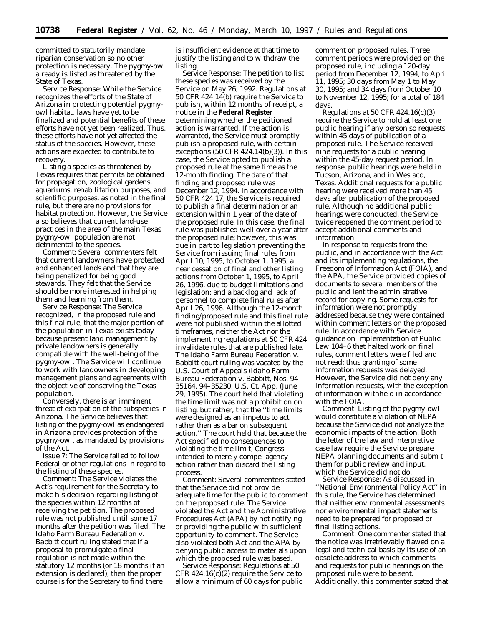committed to statutorily mandate riparian conservation so no other protection is necessary. The pygmy-owl already is listed as threatened by the State of Texas.

*Service Response:* While the Service recognizes the efforts of the State of Arizona in protecting potential pygmyowl habitat, laws have yet to be finalized and potential benefits of these efforts have not yet been realized. Thus, these efforts have not yet affected the status of the species. However, these actions are expected to contribute to recovery.

Listing a species as threatened by Texas requires that permits be obtained for propagation, zoological gardens, aquariums, rehabilitation purposes, and scientific purposes, as noted in the final rule, but there are no provisions for habitat protection. However, the Service also believes that current land-use practices in the area of the main Texas pygmy-owl population are not detrimental to the species.

*Comment:* Several commenters felt that current landowners have protected and enhanced lands and that they are being penalized for being good stewards. They felt that the Service should be more interested in helping them and learning from them.

*Service Response:* The Service recognized, in the proposed rule and this final rule, that the major portion of the population in Texas exists today because present land management by private landowners is generally compatible with the well-being of the pygmy-owl. The Service will continue to work with landowners in developing management plans and agreements with the objective of conserving the Texas population.

Conversely, there is an imminent threat of extirpation of the subspecies in Arizona. The Service believes that listing of the pygmy-owl as endangered in Arizona provides protection of the pygmy-owl, as mandated by provisions of the Act.

*Issue 7:* The Service failed to follow Federal or other regulations in regard to the listing of these species.

*Comment:* The Service violates the Act's requirement for the Secretary to make his decision regarding listing of the species within 12 months of receiving the petition. The proposed rule was not published until some 17 months after the petition was filed. The *Idaho Farm Bureau Federation* v. *Babbitt* court ruling stated that if a proposal to promulgate a final regulation is not made within the statutory 12 months (or 18 months if an extension is declared), then the proper course is for the Secretary to find there

is insufficient evidence at that time to justify the listing and to withdraw the listing.

*Service Response:* The petition to list these species was received by the Service on May 26, 1992. Regulations at 50 CFR 424.14(b) require the Service to publish, within 12 months of receipt, a notice in the **Federal Register** determining whether the petitioned action is warranted. If the action is warranted, the Service must promptly publish a proposed rule, with certain exceptions (50 CFR 424.14(b)(3)). In this case, the Service opted to publish a proposed rule at the same time as the 12-month finding. The date of that finding and proposed rule was December 12, 1994. In accordance with 50 CFR 424.17, the Service is required to publish a final determination or an extension within 1 year of the date of the proposed rule. In this case, the final rule was published well over a year after the proposed rule; however, this was due in part to legislation preventing the Service from issuing final rules from April 10, 1995, to October 1, 1995; a near cessation of final and other listing actions from October 1, 1995, to April 26, 1996, due to budget limitations and legislation; and a backlog and lack of personnel to complete final rules after April 26, 1996. Although the 12-month finding/proposed rule and this final rule were not published within the allotted timeframes, neither the Act nor the implementing regulations at 50 CFR 424 invalidate rules that are published late. The *Idaho Farm Bureau Federation* v. *Babbitt* court ruling was vacated by the U.S. Court of Appeals (*Idaho Farm Bureau Federation* v. *Babbitt,* Nos. 94– 35164, 94–35230, U.S. Ct. App. (June 29, 1995). The court held that violating the time limit was not a prohibition on listing, but rather, that the ''time limits were designed as an impetus to act rather than as a bar on subsequent action.'' The court held that because the Act specified no consequences to violating the time limit, Congress intended to merely compel agency action rather than discard the listing process.

*Comment:* Several commenters stated that the Service did not provide adequate time for the public to comment on the proposed rule. The Service violated the Act and the Administrative Procedures Act (APA) by not notifying or providing the public with sufficient opportunity to comment. The Service also violated both Act and the APA by denying public access to materials upon which the proposed rule was based.

*Service Response:* Regulations at 50 CFR 424.16(c)(2) require the Service to allow a minimum of 60 days for public comment on proposed rules. Three comment periods were provided on the proposed rule, including a 120-day period from December 12, 1994, to April 11, 1995; 30 days from May 1 to May 30, 1995; and 34 days from October 10 to November 12, 1995; for a total of 184 days.

Regulations at 50 CFR  $424.16(c)(3)$ require the Service to hold at least one public hearing if any person so requests within 45 days of publication of a proposed rule. The Service received nine requests for a public hearing within the 45-day request period. In response, public hearings were held in Tucson, Arizona, and in Weslaco, Texas. Additional requests for a public hearing were received more than 45 days after publication of the proposed rule. Although no additional public hearings were conducted, the Service twice reopened the comment period to accept additional comments and information.

In response to requests from the public, and in accordance with the Act and its implementing regulations, the Freedom of Information Act (FOIA), and the APA, the Service provided copies of documents to several members of the public and lent the administrative record for copying. Some requests for information were not promptly addressed because they were contained within comment letters on the proposed rule. In accordance with Service guidance on implementation of Public Law 104–6 that halted work on final rules, comment letters were filed and not read; thus granting of some information requests was delayed. However, the Service did not deny any information requests, with the exception of information withheld in accordance with the FOIA.

*Comment:* Listing of the pygmy-owl would constitute a violation of NEPA because the Service did not analyze the economic impacts of the action. Both the letter of the law and interpretive case law require the Service prepare NEPA planning documents and submit them for public review and input, which the Service did not do.

*Service Response:* As discussed in ''National Environmental Policy Act'' in this rule, the Service has determined that neither environmental assessments nor environmental impact statements need to be prepared for proposed or final listing actions.

*Comment:* One commenter stated that the notice was irretrievably flawed on a legal and technical basis by its use of an obsolete address to which comments and requests for public hearings on the proposed rule were to be sent. Additionally, this commenter stated that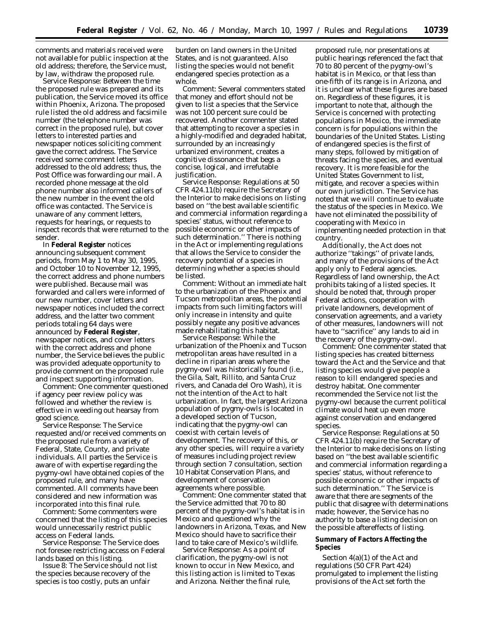comments and materials received were not available for public inspection at the old address; therefore, the Service must, by law, withdraw the proposed rule.

*Service Response:* Between the time the proposed rule was prepared and its publication, the Service moved its office within Phoenix, Arizona. The proposed rule listed the old address and facsimile number (the telephone number was correct in the proposed rule), but cover letters to interested parties and newspaper notices soliciting comment gave the correct address. The Service received some comment letters addressed to the old address; thus, the Post Office was forwarding our mail. A recorded phone message at the old phone number also informed callers of the new number in the event the old office was contacted. The Service is unaware of any comment letters, requests for hearings, or requests to inspect records that were returned to the sender.

In **Federal Register** notices announcing subsequent comment periods, from May 1 to May 30, 1995, and October 10 to November 12, 1995, the correct address and phone numbers were published. Because mail was forwarded and callers were informed of our new number, cover letters and newspaper notices included the correct address, and the latter two comment periods totaling 64 days were announced by **Federal Register**, newspaper notices, and cover letters with the correct address and phone number, the Service believes the public was provided adequate opportunity to provide comment on the proposed rule and inspect supporting information.

*Comment:* One commenter questioned if agency peer review policy was followed and whether the review is effective in weeding out hearsay from good science.

*Service Response:* The Service requested and/or received comments on the proposed rule from a variety of Federal, State, County, and private individuals. All parties the Service is aware of with expertise regarding the pygmy-owl have obtained copies of the proposed rule, and many have commented. All comments have been considered and new information was incorporated into this final rule.

*Comment:* Some commenters were concerned that the listing of this species would unnecessarily restrict public access on Federal lands.

*Service Response:* The Service does not foresee restricting access on Federal lands based on this listing.

*Issue 8:* The Service should not list the species because recovery of the species is too costly, puts an unfair

burden on land owners in the United States, and is not guaranteed. Also listing the species would not benefit endangered species protection as a whole.

*Comment:* Several commenters stated that money and effort should not be given to list a species that the Service was not 100 percent sure could be recovered. Another commenter stated that attempting to recover a species in a highly-modified and degraded habitat, surrounded by an increasingly urbanized environment, creates a cognitive dissonance that begs a concise, logical, and irrefutable justification.

*Service Response:* Regulations at 50 CFR 424.11(b) require the Secretary of the Interior to make decisions on listing based on ''the best available scientific and commercial information regarding a species' status, without reference to possible economic or other impacts of such determination." There is nothing in the Act or implementing regulations that allows the Service to consider the recovery potential of a species in determining whether a species should be listed.

*Comment:* Without an immediate halt to the urbanization of the Phoenix and Tucson metropolitan areas, the potential impacts from such limiting factors will only increase in intensity and quite possibly negate any positive advances made rehabilitating this habitat.

*Service Response:* While the urbanization of the Phoenix and Tucson metropolitan areas have resulted in a decline in riparian areas where the pygmy-owl was historically found (i.e., the Gila, Salt, Rillito, and Santa Cruz rivers, and Canada del Oro Wash), it is not the intention of the Act to halt urbanization. In fact, the largest Arizona population of pygmy-owls is located in a developed section of Tucson, indicating that the pygmy-owl can coexist with certain levels of development. The recovery of this, or any other species, will require a variety of measures including project review through section 7 consultation, section 10 Habitat Conservation Plans, and development of conservation agreements where possible.

*Comment:* One commenter stated that the Service admitted that 70 to 80 percent of the pygmy-owl's habitat is in Mexico and questioned why the landowners in Arizona, Texas, and New Mexico should have to sacrifice their land to take care of Mexico's wildlife.

*Service Response:* As a point of clarification, the pygmy-owl is not known to occur in New Mexico, and this listing action is limited to Texas and Arizona. Neither the final rule,

proposed rule, nor presentations at public hearings referenced the fact that 70 to 80 percent of the pygmy-owl's habitat is in Mexico, or that less than one-fifth of its range is in Arizona, and it is unclear what these figures are based on. Regardless of these figures, it is important to note that, although the Service is concerned with protecting populations in Mexico, the immediate concern is for populations within the boundaries of the United States. Listing of endangered species is the first of many steps, followed by mitigation of threats facing the species, and eventual recovery. It is more feasible for the United States Government to list, mitigate, and recover a species within our own jurisdiction. The Service has noted that we will continue to evaluate the status of the species in Mexico. We have not eliminated the possibility of cooperating with Mexico in implementing needed protection in that country.

Additionally, the Act does not authorize ''takings'' of private lands, and many of the provisions of the Act apply only to Federal agencies. Regardless of land ownership, the Act prohibits taking of a listed species. It should be noted that, through proper Federal actions, cooperation with private landowners, development of conservation agreements, and a variety of other measures, landowners will not have to ''sacrifice'' any lands to aid in the recovery of the pygmy-owl.

*Comment:* One commenter stated that listing species has created bitterness toward the Act and the Service and that listing species would give people a reason to kill endangered species and destroy habitat. One commenter recommended the Service not list the pygmy-owl because the current political climate would heat up even more against conservation and endangered species.

*Service Response:* Regulations at 50 CFR 424.11(b) require the Secretary of the Interior to make decisions on listing based on ''the best available scientific and commercial information regarding a species' status, without reference to possible economic or other impacts of such determination.'' The Service is aware that there are segments of the public that disagree with determinations made; however, the Service has no authority to base a listing decision on the possible aftereffects of listing.

# **Summary of Factors Affecting the Species**

Section 4(a)(1) of the Act and regulations (50 CFR Part 424) promulgated to implement the listing provisions of the Act set forth the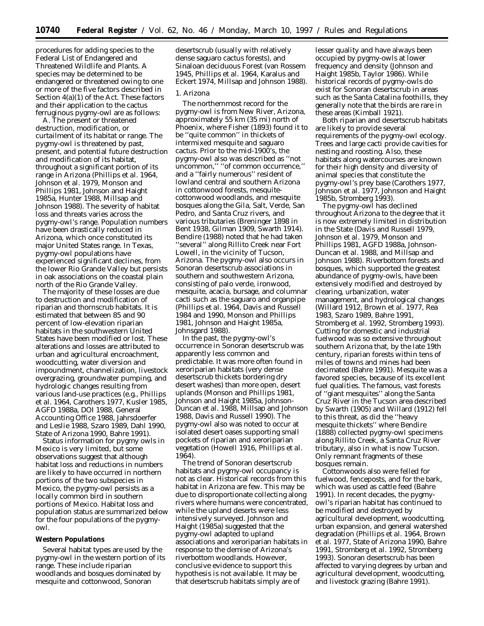procedures for adding species to the Federal List of Endangered and Threatened Wildlife and Plants. A species may be determined to be endangered or threatened owing to one or more of the five factors described in Section 4(a)(1) of the Act. These factors and their application to the cactus ferruginous pygmy-owl are as follows:

A. *The present or threatened destruction, modification, or curtailment of its habitat or range.* The pygmy-owl is threatened by past, present, and potential future destruction and modification of its habitat, throughout a significant portion of its range in Arizona (Phillips *et al.* 1964, Johnson *et al.* 1979, Monson and Phillips 1981, Johnson and Haight 1985a, Hunter 1988, Millsap and Johnson 1988). The severity of habitat loss and threats varies across the pygmy-owl's range. Population numbers have been drastically reduced in Arizona, which once constituted its major United States range. In Texas, pygmy-owl populations have experienced significant declines, from the lower Rio Grande Valley but persists in oak associations on the coastal plain north of the Rio Grande Valley.

The majority of these losses are due to destruction and modification of riparian and thornscrub habitats. It is estimated that between 85 and 90 percent of low-elevation riparian habitats in the southwestern United States have been modified or lost. These alterations and losses are attributed to urban and agricultural encroachment, woodcutting, water diversion and impoundment, channelization, livestock overgrazing, groundwater pumping, and hydrologic changes resulting from various land-use practices (e.g., Phillips *et al.* 1964, Carothers 1977, Kusler 1985, AGFD 1988a, DOI 1988, General Accounting Office 1988, Jahrsdoerfer and Leslie 1988, Szaro 1989, Dahl 1990, State of Arizona 1990, Bahre 1991).

Status information for pygmy owls in Mexico is very limited, but some observations suggest that although habitat loss and reductions in numbers are likely to have occurred in northern portions of the two subspecies in Mexico, the pygmy-owl persists as a locally common bird in southern portions of Mexico. Habitat loss and population status are summarized below for the four populations of the pygmyowl.

#### **Western Populations**

Several habitat types are used by the pygmy-owl in the western portion of its range. These include riparian woodlands and bosques dominated by mesquite and cottonwood, Sonoran

desertscrub (usually with relatively dense saguaro cactus forests), and Sinaloan deciduous Forest (van Rossem 1945, Phillips *et al*. 1964, Karalus and Eckert 1974, Millsap and Johnson 1988).

### *1. Arizona*

The northernmost record for the pygmy-owl is from New River, Arizona, approximately 55 km (35 mi) north of Phoenix, where Fisher (1893) found it to be ''quite common'' in thickets of intermixed mesquite and saguaro cactus. Prior to the mid-1900's, the pygmy-owl also was described as ''not uncommon,'' ''of common occurrence,'' and a ''fairly numerous'' resident of lowland central and southern Arizona in cottonwood forests, mesquitecottonwood woodlands, and mesquite bosques along the Gila, Salt, Verde, San Pedro, and Santa Cruz rivers, and various tributaries (Breninger 1898 *in* Bent 1938, Gilman 1909, Swarth 1914). Bendire (1988) noted that he had taken ''several'' along Rillito Creek near Fort Lowell, in the vicinity of Tucson, Arizona. The pygmy-owl also occurs in Sonoran desertscrub associations in southern and southwestern Arizona, consisting of palo verde, ironwood, mesquite, acacia, bursage, and columnar cacti such as the saguaro and organpipe (Phillips *et al*. 1964, Davis and Russell 1984 and 1990, Monson and Phillips 1981, Johnson and Haight 1985a, Johnsgard 1988).

In the past, the pygmy-owl's occurrence in Sonoran desertscrub was apparently less common and predictable. It was more often found in xeroriparian habitats (very dense desertscrub thickets bordering dry desert washes) than more open, desert uplands (Monson and Phillips 1981, Johnson and Haight 1985a, Johnson-Duncan *et al*. 1988, Millsap and Johnson 1988, Davis and Russell 1990). The pygmy-owl also was noted to occur at isolated desert oases supporting small pockets of riparian and xeroriparian vegetation (Howell 1916, Phillips *et al*. 1964).

The trend of Sonoran desertscrub habitats and pygmy-owl occupancy is not as clear. Historical records from this habitat in Arizona are few. This may be due to disproportionate collecting along rivers where humans were concentrated, while the upland deserts were less intensively surveyed. Johnson and Haight (1985a) suggested that the pygmy-owl adapted to upland associations and xeroriparian habitats in response to the demise of Arizona's riverbottom woodlands. However, conclusive evidence to support this hypothesis is not available. It may be that desertscrub habitats simply are of

lesser quality and have always been occupied by pygmy-owls at lower frequency and density (Johnson and Haight 1985b, Taylor 1986). While historical records of pygmy-owls do exist for Sonoran desertscrub in areas such as the Santa Catalina foothills, they generally note that the birds are rare in these areas (Kimball 1921).

Both riparian and desertscrub habitats are likely to provide several requirements of the pygmy-owl ecology. Trees and large cacti provide cavities for nesting and roosting. Also, these habitats along watercourses are known for their high density and diversity of animal species that constitute the pygmy-owl's prey base (Carothers 1977, Johnson *et al*. 1977, Johnson and Haight 1985b, Stromberg 1993).

The pygmy-owl has declined throughout Arizona to the degree that it is now extremely limited in distribution in the State (Davis and Russell 1979, Johnson *et al*. 1979, Monson and Phillips 1981, AGFD 1988a, Johnson-Duncan *et al*. 1988, and Millsap and Johnson 1988). Riverbottom forests and bosques, which supported the greatest abundance of pygmy-owls, have been extensively modified and destroyed by clearing, urbanization, water management, and hydrological changes (Willard 1912, Brown *et al*. 1977, Rea 1983, Szaro 1989, Bahre 1991, Stromberg *et al*. 1992, Stromberg 1993). Cutting for domestic and industrial fuelwood was so extensive throughout southern Arizona that, by the late 19th century, riparian forests within tens of miles of towns and mines had been decimated (Bahre 1991). Mesquite was a favored species, because of its excellent fuel qualities. The famous, vast forests of ''giant mesquites'' along the Santa Cruz River in the Tucson area described by Swarth (1905) and Willard (1912) fell to this threat, as did the ''heavy mesquite thickets'' where Bendire (1888) collected pygmy-owl specimens along Rillito Creek, a Santa Cruz River tributary, also in what is now Tucson. Only remnant fragments of these bosques remain.

Cottonwoods also were felled for fuelwood, fenceposts, and for the bark, which was used as cattle feed (Bahre 1991). In recent decades, the pygmyowl's riparian habitat has continued to be modified and destroyed by agricultural development, woodcutting, urban expansion, and general watershed degradation (Phillips *et al*. 1964, Brown *et al.* 1977, State of Arizona 1990, Bahre 1991, Stromberg *et al*. 1992, Stromberg 1993). Sonoran desertscrub has been affected to varying degrees by urban and agricultural development, woodcutting, and livestock grazing (Bahre 1991).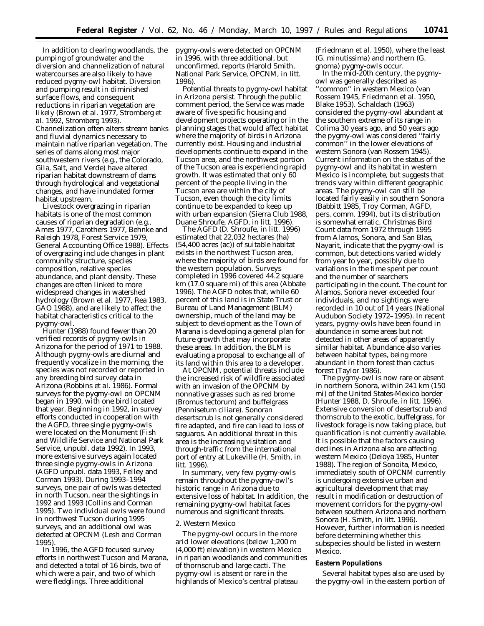In addition to clearing woodlands, the pumping of groundwater and the diversion and channelization of natural watercourses are also likely to have reduced pygmy-owl habitat. Diversion and pumping result in diminished surface flows, and consequent reductions in riparian vegetation are likely (Brown *et al*. 1977, Stromberg *et al*. 1992, Stromberg 1993). Channelization often alters stream banks and fluvial dynamics necessary to maintain native riparian vegetation. The series of dams along most major southwestern rivers (e.g., the Colorado, Gila, Salt, and Verde) have altered riparian habitat downstream of dams through hydrological and vegetational changes, and have inundated former habitat upstream.

Livestock overgrazing in riparian habitats is one of the most common causes of riparian degradation (e.g., Ames 1977, Carothers 1977, Behnke and Raleigh 1978, Forest Service 1979, General Accounting Office 1988). Effects of overgrazing include changes in plant community structure, species composition, relative species abundance, and plant density. These changes are often linked to more widespread changes in watershed hydrology (Brown *et al.* 1977, Rea 1983, GAO 1988), and are likely to affect the habitat characteristics critical to the pygmy-owl.

Hunter (1988) found fewer than 20 verified records of pygmy-owls in Arizona for the period of 1971 to 1988. Although pygmy-owls are diurnal and frequently vocalize in the morning, the species was not recorded or reported in any breeding bird survey data in Arizona (Robbins *et al.* 1986). Formal surveys for the pygmy-owl on OPCNM began in 1990, with one bird located that year. Beginning in 1992, in survey efforts conducted in cooperation with the AGFD, three single pygmy-owls were located on the Monument (Fish and Wildlife Service and National Park Service, unpubl. data 1992). In 1993, more extensive surveys again located three single pygmy-owls in Arizona (AGFD unpubl. data 1993, Felley and Corman 1993). During 1993–1994 surveys, one pair of owls was detected in north Tucson, near the sightings in 1992 and 1993 (Collins and Corman 1995). Two individual owls were found in northwest Tucson during 1995 surveys, and an additional owl was detected at OPCNM (Lesh and Corman 1995).

In 1996, the AGFD focused survey efforts in northwest Tucson and Marana, and detected a total of 16 birds, two of which were a pair, and two of which were fledglings. Three additional

pygmy-owls were detected on OPCNM in 1996, with three additional, but unconfirmed, reports (Harold Smith, National Park Service, OPCNM, *in litt*. 1996).

Potential threats to pygmy-owl habitat in Arizona persist. Through the public comment period, the Service was made aware of five specific housing and development projects operating or in the planning stages that would affect habitat where the majority of birds in Arizona currently exist. Housing and industrial developments continue to expand in the Tucson area, and the northwest portion of the Tucson area is experiencing rapid growth. It was estimated that only 60 percent of the people living in the Tucson area are within the city of Tucson, even though the city limits continue to be expanded to keep up with urban expansion (Sierra Club 1988, Duane Shroufe, AGFD, *in litt*. 1996).

The AGFD (D. Shroufe, *in litt*. 1996) estimated that 22,032 hectares (ha) (54,400 acres (ac)) of suitable habitat exists in the northwest Tucson area, where the majority of birds are found for the western population. Surveys completed in 1996 covered 44.2 square km (17.0 square mi) of this area (Abbate 1996). The AGFD notes that, while 60 percent of this land is in State Trust or Bureau of Land Management (BLM) ownership, much of the land may be subject to development as the Town of Marana is developing a general plan for future growth that may incorporate these areas. In addition, the BLM is evaluating a proposal to exchange all of its land within this area to a developer.

At OPCNM, potential threats include the increased risk of wildfire associated with an invasion of the OPCNM by nonnative grasses such as red brome (*Bromus tectorum*) and buffelgrass (*Pennisetum ciliare*). Sonoran desertscrub is not generally considered fire adapted, and fire can lead to loss of saguaros. An additional threat in this area is the increasing visitation and through-traffic from the international port of entry at Lukeville (H. Smith, *in litt*. 1996).

In summary, very few pygmy-owls remain throughout the pygmy-owl's historic range in Arizona due to extensive loss of habitat. In addition, the remaining pygmy-owl habitat faces numerous and significant threats.

### *2. Western Mexico*

The pygmy-owl occurs in the more arid lower elevations (below 1,200 m (4,000 ft) elevation) in western Mexico in riparian woodlands and communities of thornscrub and large cacti. The pygmy-owl is absent or rare in the highlands of Mexico's central plateau

(Friedmann *et al.* 1950), where the least (*G. minutissima*) and northern (*G. gnoma*) pygmy-owls occur.

In the mid-20th century, the pygmyowl was generally described as ''common'' in western Mexico (van Rossem 1945, Friedmann *et al.* 1950, Blake 1953). Schaldach (1963) considered the pygmy-owl abundant at the southern extreme of its range in Colima 30 years ago, and 50 years ago the pygmy-owl was considered ''fairly common'' in the lower elevations of western Sonora (van Rossem 1945). Current information on the status of the pygmy-owl and its habitat in western Mexico is incomplete, but suggests that trends vary within different geographic areas. The pygmy-owl can still be located fairly easily in southern Sonora (Babbitt 1985, Troy Corman, AGFD, pers. comm. 1994), but its distribution is somewhat erratic. Christmas Bird Count data from 1972 through 1995 from Alamos, Sonora, and San Blas, Nayarit, indicate that the pygmy-owl is common, but detections varied widely from year to year, possibly due to variations in the time spent per count and the number of searchers participating in the count. The count for Alamos, Sonora never exceeded four individuals, and no sightings were recorded in 10 out of 14 years (National Audubon Society 1972–1995). In recent years, pygmy-owls have been found in abundance in some areas but not detected in other areas of apparently similar habitat. Abundance also varies between habitat types, being more abundant in thorn forest than cactus forest (Taylor 1986).

The pygmy-owl is now rare or absent in northern Sonora, within 241 km (150 mi) of the United States-Mexico border (Hunter 1988, D. Shroufe, *in litt.* 1996). Extensive conversion of desertscrub and thornscrub to the exotic, buffelgrass, for livestock forage is now taking place, but quantification is not currently available. It is possible that the factors causing declines in Arizona also are affecting western Mexico (Deloya 1985, Hunter 1988). The region of Sonoita, Mexico, immediately south of OPCNM currently is undergoing extensive urban and agricultural development that may result in modification or destruction of movement corridors for the pygmy-owl between southern Arizona and northern Sonora (H. Smith, *in litt.* 1996). However, further information is needed before determining whether this subspecies should be listed in western Mexico.

#### **Eastern Populations**

Several habitat types also are used by the pygmy-owl in the eastern portion of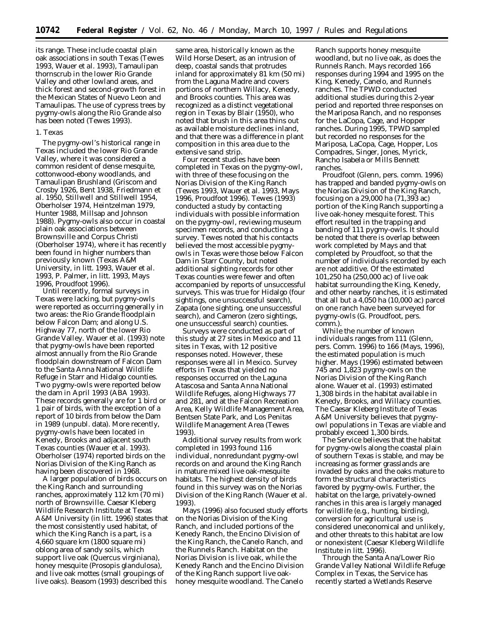its range. These include coastal plain oak associations in south Texas (Tewes 1993, Wauer *et al.* 1993), Tamaulipan thornscrub in the lower Rio Grande Valley and other lowland areas, and thick forest and second-growth forest in the Mexican States of Nuevo Leon and Tamaulipas. The use of cypress trees by pygmy-owls along the Rio Grande also has been noted (Tewes 1993).

#### *1. Texas*

The pygmy-owl's historical range in Texas included the lower Rio Grande Valley, where it was considered a common resident of dense mesquite, cottonwood-ebony woodlands, and Tamaulipan Brushland (Griscom and Crosby 1926, Bent 1938, Friedmann *et al.* 1950, Stillwell and Stillwell 1954, Oberholser 1974, Heintzelman 1979, Hunter 1988, Millsap and Johnson 1988). Pygmy-owls also occur in coastal plain oak associations between Brownsville and Corpus Christi (Oberholser 1974), where it has recently been found in higher numbers than previously known (Texas A&M University, *in litt.* 1993, Wauer *et al.* 1993, P. Palmer, *in litt.* 1993, Mays 1996, Proudfoot 1996).

Until recently, formal surveys in Texas were lacking, but pygmy-owls were reported as occurring generally in two areas: the Rio Grande floodplain below Falcon Dam; and along U.S. Highway 77, north of the lower Rio Grande Valley. Wauer *et al.* (1993) note that pygmy-owls have been reported almost annually from the Rio Grande floodplain downstream of Falcon Dam to the Santa Anna National Wildlife Refuge in Starr and Hidalgo counties. Two pygmy-owls were reported below the dam in April 1993 (ABA 1993). These records generally are for 1 bird or 1 pair of birds, with the exception of a report of 10 birds from below the Dam in 1989 (unpubl. data). More recently, pygmy-owls have been located in Kenedy, Brooks and adjacent south Texas counties (Wauer *et al.* 1993). Oberholser (1974) reported birds on the Norias Division of the King Ranch as having been discovered in 1968.

A larger population of birds occurs on the King Ranch and surrounding ranches, approximately 112 km (70 mi) north of Brownsville. Caesar Kleberg Wildlife Research Institute at Texas A&M University (*in litt.* 1996) states that the most consistently used habitat, of which the King Ranch is a part, is a 4,660 square km (1800 square mi) oblong area of sandy soils, which support live oak (*Quercus virginiana*), honey mesquite (*Prosopis glandulosa*), and live oak mottes (small groupings of live oaks). Beasom (1993) described this

same area, historically known as the Wild Horse Desert, as an intrusion of deep, coastal sands that protrudes inland for approximately 81 km (50 mi) from the Laguna Madre and covers portions of northern Willacy, Kenedy, and Brooks counties. This area was recognized as a distinct vegetational region in Texas by Blair (1950), who noted that brush in this area thins out as available moisture declines inland, and that there was a difference in plant composition in this area due to the extensive sand strip.

Four recent studies have been completed in Texas on the pygmy-owl, with three of these focusing on the Norias Division of the King Ranch (Tewes 1993, Wauer *et al.* 1993, Mays 1996, Proudfoot 1996). Tewes (1993) conducted a study by contacting individuals with possible information on the pygmy-owl, reviewing museum specimen records, and conducting a survey. Tewes noted that his contacts believed the most accessible pygmyowls in Texas were those below Falcon Dam in Starr County, but noted additional sighting records for other Texas counties were fewer and often accompanied by reports of unsuccessful surveys. This was true for Hidalgo (four sightings, one unsuccessful search), Zapata (one sighting, one unsuccessful search), and Cameron (zero sightings, one unsuccessful search) counties.

Surveys were conducted as part of this study at 27 sites in Mexico and 11 sites in Texas, with 12 positive responses noted. However, these responses were all in Mexico. Survey efforts in Texas that yielded no responses occurred on the Laguna Atascosa and Santa Anna National Wildlife Refuges, along Highways 77 and 281, and at the Falcon Recreation Area, Kelly Wildlife Management Area, Bentsen State Park, and Los Penitas Wildlife Management Area (Tewes 1993).

Additional survey results from work completed in 1993 found 116 individual, nonredundant pygmy-owl records on and around the King Ranch in mature mixed live oak-mesquite habitats. The highest density of birds found in this survey was on the Norias Division of the King Ranch (Wauer *et al.* 1993).

Mays (1996) also focused study efforts on the Norias Division of the King Ranch, and included portions of the Kenedy Ranch, the Encino Division of the King Ranch, the Canelo Ranch, and the Runnels Ranch. Habitat on the Norias Division is live oak, while the Kenedy Ranch and the Encino Division of the King Ranch support live oakhoney mesquite woodland. The Canelo

Ranch supports honey mesquite woodland, but no live oak, as does the Runnels Ranch. Mays recorded 166 responses during 1994 and 1995 on the King, Kenedy, Canelo, and Runnels ranches. The TPWD conducted additional studies during this 2-year period and reported three responses on the Mariposa Ranch, and no responses for the LaCopa, Cage, and Hopper ranches. During 1995, TPWD sampled but recorded no responses for the Mariposa, LaCopa, Cage, Hopper, Los Compadres, Singer, Jones, Myrick, Rancho Isabela or Mills Bennett ranches.

Proudfoot (Glenn, pers. comm. 1996) has trapped and banded pygmy-owls on the Norias Division of the King Ranch, focusing on a 29,000 ha (71,393 ac) portion of the King Ranch supporting a live oak-honey mesquite forest. This effort resulted in the trapping and banding of 111 pygmy-owls. It should be noted that there is overlap between work completed by Mays and that completed by Proudfoot, so that the number of individuals recorded by each are not additive. Of the estimated 101,250 ha (250,000 ac) of live oak habitat surrounding the King, Kenedy, and other nearby ranches, it is estimated that all but a 4,050 ha (10,000 ac) parcel on one ranch have been surveyed for pygmy-owls (G. Proudfoot, pers. comm.).

While the number of known individuals ranges from 111 (Glenn, pers. Comm. 1996) to 166 (Mays, 1996), the estimated population is much higher. Mays (1996) estimated between 745 and 1,823 pygmy-owls on the Norias Division of the King Ranch alone. Wauer *et al.* (1993) estimated 1,308 birds in the habitat available in Kenedy, Brooks, and Willacy counties. The Caesar Kleberg Institute of Texas A&M University believes that pygmyowl populations in Texas are viable and probably exceed 1,300 birds.

The Service believes that the habitat for pygmy-owls along the coastal plain of southern Texas is stable, and may be increasing as former grasslands are invaded by oaks and the oaks mature to form the structural characteristics favored by pygmy-owls. Further, the habitat on the large, privately-owned ranches in this area is largely managed for wildlife (e.g., hunting, birding), conversion for agricultural use is considered uneconomical and unlikely, and other threats to this habitat are low or nonexistent (Caesar Kleberg Wildlife Institute *in litt*. 1996).

Through the Santa Ana/Lower Rio Grande Valley National Wildlife Refuge Complex in Texas, the Service has recently started a Wetlands Reserve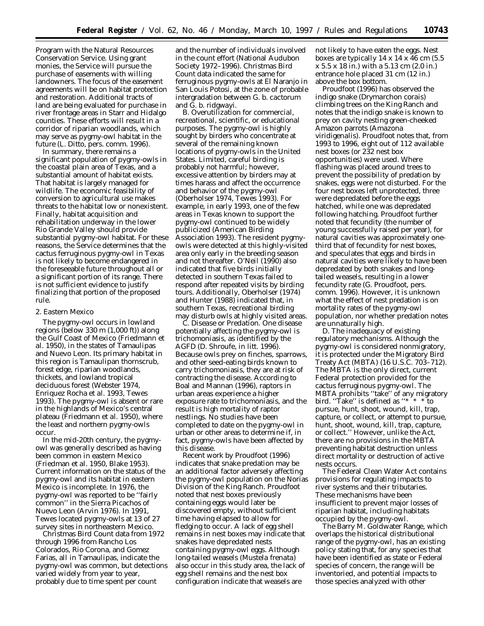Program with the Natural Resources Conservation Service. Using grant monies, the Service will pursue the purchase of easements with willing landowners. The focus of the easement agreements will be on habitat protection and restoration. Additional tracts of land are being evaluated for purchase in river frontage areas in Starr and Hidalgo counties. These efforts will result in a corridor of riparian woodlands, which may serve as pygmy-owl habitat in the future (L. Ditto, pers. comm. 1996).

In summary, there remains a significant population of pygmy-owls in the coastal plain area of Texas, and a substantial amount of habitat exists. That habitat is largely managed for wildlife. The economic feasibility of conversion to agricultural use makes threats to the habitat low or nonexistent. Finally, habitat acquisition and rehabilitation underway in the lower Rio Grande Valley should provide substantial pygmy-owl habitat. For these reasons, the Service determines that the cactus ferruginous pygmy-owl in Texas is not likely to become endangered in the foreseeable future throughout all or a significant portion of its range. There is not sufficient evidence to justify finalizing that portion of the proposed rule.

### *2. Eastern Mexico*

The pygmy-owl occurs in lowland regions (below 330 m (1,000 ft)) along the Gulf Coast of Mexico (Friedmann *et al*. 1950), in the states of Tamaulipas and Nuevo Leon. Its primary habitat in this region is Tamaulipan thornscrub, forest edge, riparian woodlands, thickets, and lowland tropical deciduous forest (Webster 1974, Enriquez Rocha *et al*. 1993, Tewes 1993). The pygmy-owl is absent or rare in the highlands of Mexico's central plateau (Friedmann *et al*. 1950), where the least and northern pygmy-owls occur.

In the mid-20th century, the pygmyowl was generally described as having been common in eastern Mexico (Friedman *et al.* 1950, Blake 1953). Current information on the status of the pygmy-owl and its habitat in eastern Mexico is incomplete. In 1976, the pygmy-owl was reported to be ''fairly common'' in the Sierra Picachos of Nuevo Leon (Arvin 1976). In 1991, Tewes located pygmy-owls at 13 of 27 survey sites in northeastern Mexico.

Christmas Bird Count data from 1972 through 1996 from Rancho Los Colorados, Rio Corona, and Gomez Farias, all in Tamaulipas, indicate the pygmy-owl was common, but detections varied widely from year to year, probably due to time spent per count

and the number of individuals involved in the count effort (National Audubon Society 1972–1996). Christmas Bird Count data indicated the same for ferruginous pygmy-owls at El Naranjo in San Louis Potosi, at the zone of probable intergradation between *G. b. cactorum* and *G. b. ridgwayi.*

B. *Overutilization for commercial, recreational, scientific, or educational purposes.* The pygmy-owl is highly sought by birders who concentrate at several of the remaining known locations of pygmy-owls in the United States. Limited, careful birding is probably not harmful; however, excessive attention by birders may at times harass and affect the occurrence and behavior of the pygmy-owl (Oberholser 1974, Tewes 1993). For example, in early 1993, one of the few areas in Texas known to support the pygmy-owl continued to be widely publicized (American Birding Association 1993). The resident pygmyowls were detected at this highly-visited area only early in the breeding season and not thereafter. O'Neil (1990) also indicated that five birds initially detected in southern Texas failed to respond after repeated visits by birding tours. Additionally, Oberholser (1974) and Hunter (1988) indicated that, in southern Texas, recreational birding may disturb owls at highly visited areas.

C. *Disease or Predation.* One disease potentially affecting the pygmy-owl is trichomoniasis, as identified by the AGFD (D. Shroufe, *in litt*. 1996). Because owls prey on finches, sparrows, and other seed-eating birds known to carry trichomoniasis, they are at risk of contracting the disease. According to Boal and Mannan (1996), raptors in urban areas experience a higher exposure rate to trichomoniasis, and the result is high mortality of raptor nestlings. No studies have been completed to date on the pygmy-owl in urban or other areas to determine if, in fact, pygmy-owls have been affected by this disease.

Recent work by Proudfoot (1996) indicates that snake predation may be an additional factor adversely affecting the pygmy-owl population on the Norias Division of the King Ranch. Proudfoot noted that nest boxes previously containing eggs would later be discovered empty, without sufficient time having elapsed to allow for fledging to occur. A lack of egg shell remains in nest boxes may indicate that snakes have depredated nests containing pygmy-owl eggs. Although long-tailed weasels (*Mustela frenata*) also occur in this study area, the lack of egg shell remains and the nest box configuration indicate that weasels are

not likely to have eaten the eggs. Nest boxes are typically 14 x 14 x 46 cm (5.5 x 5.5 x 18 in.) with a 5.13 cm (2.0 in.) entrance hole placed 31 cm (12 in.) above the box bottom.

Proudfoot (1996) has observed the indigo snake (*Drymarchon corais*) climbing trees on the King Ranch and notes that the indigo snake is known to prey on cavity nesting green-cheeked Amazon parrots (*Amazona viridigenalis*). Proudfoot notes that, from 1993 to 1996, eight out of 112 available nest boxes (or 232 nest box opportunities) were used. Where flashing was placed around trees to prevent the possibility of predation by snakes, eggs were not disturbed. For the four nest boxes left unprotected, three were depredated before the eggs hatched, while one was depredated following hatching. Proudfoot further noted that fecundity (the number of young successfully raised per year), for natural cavities was approximately onethird that of fecundity for nest boxes, and speculates that eggs and birds in natural cavities were likely to have been depredated by both snakes and longtailed weasels, resulting in a lower fecundity rate (G. Proudfoot, pers. comm. 1996). However, it is unknown what the effect of nest predation is on mortality rates of the pygmy-owl population, nor whether predation notes are unnaturally high.

D. *The inadequacy of existing regulatory mechanisms.* Although the pygmy-owl is considered nonmigratory, it is protected under the Migratory Bird Treaty Act (MBTA) (16 U.S.C. 703–712). The MBTA is the only direct, current Federal protection provided for the cactus ferruginous pygmy-owl. The MBTA prohibits ''take'' of any migratory bird. ''Take'' is defined as ''\* \* \* to pursue, hunt, shoot, wound, kill, trap, capture, or collect, or attempt to pursue, hunt, shoot, wound, kill, trap, capture, or collect.'' However, unlike the Act, there are no provisions in the MBTA preventing habitat destruction unless direct mortality or destruction of active nests occurs.

The Federal Clean Water Act contains provisions for regulating impacts to river systems and their tributaries. These mechanisms have been insufficient to prevent major losses of riparian habitat, including habitats occupied by the pygmy-owl.

The Barry M. Goldwater Range, which overlaps the historical distributional range of the pygmy-owl, has an existing policy stating that, for any species that have been identified as state or Federal species of concern, the range will be inventoried, and potential impacts to those species analyzed with other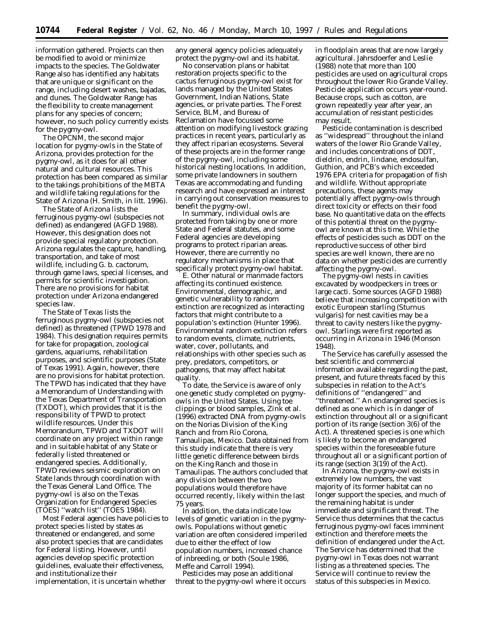information gathered. Projects can then be modified to avoid or minimize impacts to the species. The Goldwater Range also has identified any habitats that are unique or significant on the range, including desert washes, bajadas, and dunes. The Goldwater Range has the flexibility to create management plans for any species of concern; however, no such policy currently exists for the pygmy-owl.

The OPCNM, the second major location for pygmy-owls in the State of Arizona, provides protection for the pygmy-owl, as it does for all other natural and cultural resources. This protection has been compared as similar to the takings prohibitions of the MBTA and wildlife taking regulations for the State of Arizona (H. Smith, *in litt*. 1996).

The State of Arizona lists the ferruginous pygmy-owl (subspecies not defined) as endangered (AGFD 1988). However, this designation does not provide special regulatory protection. Arizona regulates the capture, handling, transportation, and take of most wildlife, including *G. b. cactorum*, through game laws, special licenses, and permits for scientific investigation. There are no provisions for habitat protection under Arizona endangered species law.

The State of Texas lists the ferruginous pygmy-owl (subspecies not defined) as threatened (TPWD 1978 and 1984). This designation requires permits for take for propagation, zoological gardens, aquariums, rehabilitation purposes, and scientific purposes (State of Texas 1991). Again, however, there are no provisions for habitat protection. The TPWD has indicated that they have a Memorandum of Understanding with the Texas Department of Transportation (TXDOT), which provides that it is the responsibility of TPWD to protect wildlife resources. Under this Memorandum, TPWD and TXDOT will coordinate on any project within range and in suitable habitat of any State or federally listed threatened or endangered species. Additionally, TPWD reviews seismic exploration on State lands through coordination with the Texas General Land Office. The pygmy-owl is also on the Texas Organization for Endangered Species (TOES) ''watch list'' (TOES 1984).

Most Federal agencies have policies to protect species listed by states as threatened or endangered, and some also protect species that are candidates for Federal listing. However, until agencies develop specific protection guidelines, evaluate their effectiveness, and institutionalize their implementation, it is uncertain whether

any general agency policies adequately protect the pygmy-owl and its habitat.

No conservation plans or habitat restoration projects specific to the cactus ferruginous pygmy-owl exist for lands managed by the United States Government, Indian Nations, State agencies, or private parties. The Forest Service, BLM, and Bureau of Reclamation have focussed some attention on modifying livestock grazing practices in recent years, particularly as they affect riparian ecosystems. Several of these projects are in the former range of the pygmy-owl, including some historical nesting locations. In addition, some private landowners in southern Texas are accommodating and funding research and have expressed an interest in carrying out conservation measures to benefit the pygmy-owl.

In summary, individual owls are protected from taking by one or more State and Federal statutes, and some Federal agencies are developing programs to protect riparian areas. However, there are currently no regulatory mechanisms in place that specifically protect pygmy-owl habitat.

E. *Other natural or manmade factors affecting its continued existence.* Environmental, demographic, and genetic vulnerability to random extinction are recognized as interacting factors that might contribute to a population's extinction (Hunter 1996). Environmental random extinction refers to random events, climate, nutrients, water, cover, pollutants, and relationships with other species such as prey, predators, competitors, or pathogens, that may affect habitat quality.

To date, the Service is aware of only one genetic study completed on pygmyowls in the United States. Using toe clippings or blood samples, Zink *et al.* (1996) extracted DNA from pygmy-owls on the Norias Division of the King Ranch and from Rio Corona, Tamaulipas, Mexico. Data obtained from this study indicate that there is very little genetic difference between birds on the King Ranch and those in Tamaulipas. The authors concluded that any division between the two populations would therefore have occurred recently, likely within the last 75 years.

In addition, the data indicate low levels of genetic variation in the pygmyowls. Populations without genetic variation are often considered imperiled due to either the effect of low population numbers, increased chance of inbreeding, or both (Soule 1986, Meffe and Carroll 1994).

Pesticides may pose an additional threat to the pygmy-owl where it occurs

in floodplain areas that are now largely agricultural. Jahrsdoerfer and Leslie (1988) note that more than 100 pesticides are used on agricultural crops throughout the lower Rio Grande Valley. Pesticide application occurs year-round. Because crops, such as cotton, are grown repeatedly year after year, an accumulation of resistant pesticides may result.

Pesticide contamination is described as ''widespread'' throughout the inland waters of the lower Rio Grande Valley, and includes concentrations of DDT, dieldrin, endrin, lindane, endosulfan, Guthion, and PCB's which exceeded 1976 EPA criteria for propagation of fish and wildlife. Without appropriate precautions, these agents may potentially affect pygmy-owls through direct toxicity or effects on their food base. No quantitative data on the effects of this potential threat on the pygmyowl are known at this time. While the effects of pesticides such as DDT on the reproductive success of other bird species are well known, there are no data on whether pesticides are currently affecting the pygmy-owl.

The pygmy-owl nests in cavities excavated by woodpeckers in trees or large cacti. Some sources (AGFD 1988) believe that increasing competition with exotic European starling (*Sturnus vulgaris*) for nest cavities may be a threat to cavity nesters like the pygmyowl. Starlings were first reported as occurring in Arizona in 1946 (Monson 1948).

The Service has carefully assessed the best scientific and commercial information available regarding the past, present, and future threats faced by this subspecies in relation to the Act's definitions of ''endangered'' and ''threatened.'' An endangered species is defined as one which is in danger of extinction throughout all or a significant portion of its range (section 3(6) of the Act). A threatened species is one which is likely to become an endangered species within the foreseeable future throughout all or a significant portion of its range (section 3(19) of the Act).

In Arizona, the pygmy-owl exists in extremely low numbers, the vast majority of its former habitat can no longer support the species, and much of the remaining habitat is under immediate and significant threat. The Service thus determines that the cactus ferruginous pygmy-owl faces imminent extinction and therefore meets the definition of endangered under the Act. The Service has determined that the pygmy-owl in Texas does not warrant listing as a threatened species. The Service will continue to review the status of this subspecies in Mexico.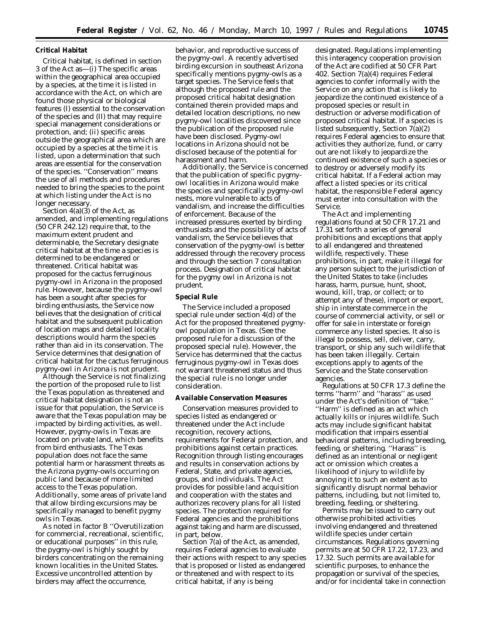# **Critical Habitat**

Critical habitat, is defined in section 3 of the Act as—(i) The specific areas within the geographical area occupied by a species, at the time it is listed in accordance with the Act, on which are found those physical or biological features (I) essential to the conservation of the species and (II) that may require special management considerations or protection, and; (ii) specific areas outside the geographical area which are occupied by a species at the time it is listed, upon a determination that such areas are essential for the conservation of the species. ''Conservation'' means the use of all methods and procedures needed to bring the species to the point at which listing under the Act is no longer necessary.

Section  $4(a)(3)$  of the Act, as amended, and implementing regulations (50 CFR 242.12) require that, to the maximum extent prudent and determinable, the Secretary designate critical habitat at the time a species is determined to be endangered or threatened. Critical habitat was proposed for the cactus ferruginous pygmy-owl in Arizona in the proposed rule. However, because the pygmy-owl has been a sought after species for birding enthusiasts, the Service now believes that the designation of critical habitat and the subsequent publication of location maps and detailed locality descriptions would harm the species rather than aid in its conservation. The Service determines that designation of critical habitat for the cactus ferruginous pygmy-owl in Arizona is not prudent.

Although the Service is not finalizing the portion of the proposed rule to list the Texas population as threatened and critical habitat designation is not an issue for that population, the Service is aware that the Texas population may be impacted by birding activities, as well. However, pygmy-owls in Texas are located on private land, which benefits from bird enthusiasts. The Texas population does not face the same potential harm or harassment threats as the Arizona pygmy-owls occurring on public land because of more limited access to the Texas population. Additionally, some areas of private land that allow birding excursions may be specifically managed to benefit pygmy owls in Texas.

As noted in factor B ''Overutilization for commercial, recreational, scientific, or educational purposes'' in this rule, the pygmy-owl is highly sought by birders concentrating on the remaining known localities in the United States. Excessive uncontrolled attention by birders may affect the occurrence,

behavior, and reproductive success of the pygmy-owl. A recently advertised birding excursion in southeast Arizona specifically mentions pygmy-owls as a target species. The Service feels that although the proposed rule and the proposed critical habitat designation contained therein provided maps and detailed location descriptions, no new pygmy-owl localities discovered since the publication of the proposed rule have been disclosed. Pygmy-owl locations in Arizona should not be disclosed because of the potential for harassment and harm.

Additionally, the Service is concerned that the publication of specific pygmyowl localities in Arizona would make the species and specifically pygmy-owl nests, more vulnerable to acts of vandalism, and increase the difficulties of enforcement. Because of the increased pressures exerted by birding enthusiasts and the possibility of acts of vandalism, the Service believes that conservation of the pygmy-owl is better addressed through the recovery process and through the section 7 consultation process. Designation of critical habitat for the pygmy owl in Arizona is not prudent.

### **Special Rule**

The Service included a proposed special rule under section 4(d) of the Act for the proposed threatened pygmyowl population in Texas. (See the proposed rule for a discussion of the proposed special rule). However, the Service has determined that the cactus ferruginous pygmy-owl in Texas does not warrant threatened status and thus the special rule is no longer under consideration.

### **Available Conservation Measures**

Conservation measures provided to species listed as endangered or threatened under the Act include recognition, recovery actions, requirements for Federal protection, and prohibitions against certain practices. Recognition through listing encourages and results in conservation actions by Federal, State, and private agencies, groups, and individuals. The Act provides for possible land acquisition and cooperation with the states and authorizes recovery plans for all listed species. The protection required for Federal agencies and the prohibitions against taking and harm are discussed, in part, below.

Section 7(a) of the Act, as amended, requires Federal agencies to evaluate their actions with respect to any species that is proposed or listed as endangered or threatened and with respect to its critical habitat, if any is being

designated. Regulations implementing this interagency cooperation provision of the Act are codified at 50 CFR Part 402. Section 7(a)(4) requires Federal agencies to confer informally with the Service on any action that is likely to jeopardize the continued existence of a proposed species or result in destruction or adverse modification of proposed critical habitat. If a species is listed subsequently, Section 7(a)(2) requires Federal agencies to ensure that activities they authorize, fund, or carry out are not likely to jeopardize the continued existence of such a species or to destroy or adversely modify its critical habitat. If a Federal action may affect a listed species or its critical habitat, the responsible Federal agency must enter into consultation with the Service.

The Act and implementing regulations found at 50 CFR 17.21 and 17.31 set forth a series of general prohibitions and exceptions that apply to all endangered and threatened wildlife, respectively. These prohibitions, in part, make it illegal for any person subject to the jurisdiction of the United States to take (includes harass, harm, pursue, hunt, shoot, wound, kill, trap, or collect; or to attempt any of these), import or export, ship in interstate commerce in the course of commercial activity, or sell or offer for sale in interstate or foreign commerce any listed species. It also is illegal to possess, sell, deliver, carry, transport, or ship any such wildlife that has been taken illegally. Certain exceptions apply to agents of the Service and the State conservation agencies.

Regulations at 50 CFR 17.3 define the terms ''harm'' and ''harass'' as used under the Act's definition of ''take.'' ''Harm'' is defined as an act which actually kills or injures wildlife. Such acts may include significant habitat modification that impairs essential behavioral patterns, including breeding, feeding, or sheltering. ''Harass'' is defined as an intentional or negligent act or omission which creates a likelihood of injury to wildlife by annoying it to such an extent as to significantly disrupt normal behavior patterns, including, but not limited to, breeding, feeding, or sheltering.

Permits may be issued to carry out otherwise prohibited activities involving endangered and threatened wildlife species under certain circumstances. Regulations governing permits are at 50 CFR 17.22, 17.23, and 17.32. Such permits are available for scientific purposes, to enhance the propagation or survival of the species, and/or for incidental take in connection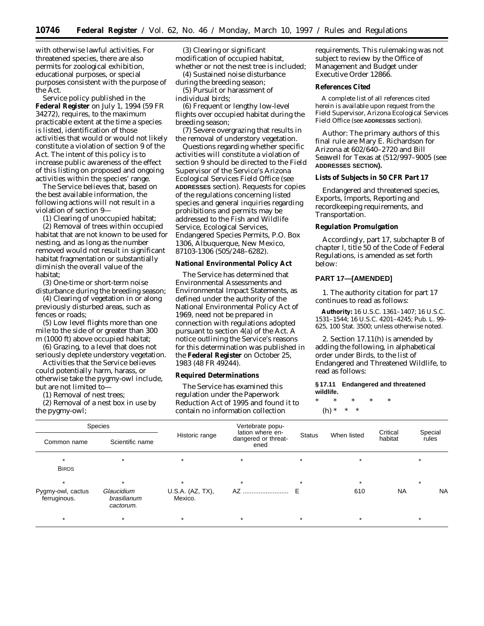with otherwise lawful activities. For threatened species, there are also permits for zoological exhibition, educational purposes, or special purposes consistent with the purpose of the Act.

Service policy published in the **Federal Register** on July 1, 1994 (59 FR 34272), requires, to the maximum practicable extent at the time a species is listed, identification of those activities that would or would not likely constitute a violation of section 9 of the Act. The intent of this policy is to increase public awareness of the effect of this listing on proposed and ongoing activities within the species' range.

The Service believes that, based on the best available information, the following actions will not result in a violation of section 9—

(1) Clearing of unoccupied habitat;

(2) Removal of trees within occupied habitat that are not known to be used for nesting, and as long as the number removed would not result in significant habitat fragmentation or substantially diminish the overall value of the habitat;

(3) One-time or short-term noise disturbance during the breeding season;

(4) Clearing of vegetation in or along previously disturbed areas, such as fences or roads;

(5) Low level flights more than one mile to the side of or greater than 300 m (1000 ft) above occupied habitat;

(6) Grazing, to a level that does not seriously deplete understory vegetation.

Activities that the Service believes could potentially harm, harass, or otherwise take the pygmy-owl include, but are not limited to—

(1) Removal of nest trees;

(2) Removal of a nest box in use by the pygmy-owl;

(3) Clearing or significant modification of occupied habitat, whether or not the nest tree is included;

(4) Sustained noise disturbance during the breeding season;

(5) Pursuit or harassment of individual birds;

(6) Frequent or lengthy low-level flights over occupied habitat during the breeding season;

(7) Severe overgrazing that results in the removal of understory vegetation.

Questions regarding whether specific activities will constitute a violation of section 9 should be directed to the Field Supervisor of the Service's Arizona Ecological Services Field Office (see **ADDRESSES** section). Requests for copies of the regulations concerning listed species and general inquiries regarding prohibitions and permits may be addressed to the Fish and Wildlife Service, Ecological Services, Endangered Species Permits, P.O. Box 1306, Albuquerque, New Mexico, 87103-1306 (505/248–6282).

## **National Environmental Policy Act**

The Service has determined that Environmental Assessments and Environmental Impact Statements, as defined under the authority of the National Environmental Policy Act of 1969, need not be prepared in connection with regulations adopted pursuant to section 4(a) of the Act. A notice outlining the Service's reasons for this determination was published in the **Federal Register** on October 25, 1983 (48 FR 49244).

## **Required Determinations**

The Service has examined this regulation under the Paperwork Reduction Act of 1995 and found it to contain no information collection

requirements. This rulemaking was not subject to review by the Office of Management and Budget under Executive Order 12866.

### **References Cited**

A complete list of all references cited herein is available upon request from the Field Supervisor, Arizona Ecological Services Field Office (see **ADDRESSES** section).

Author: The primary authors of this final rule are Mary E. Richardson for Arizona at 602/640–2720 and Bill Seawell for Texas at (512/997–9005 (see **ADDRESSES SECTION).**

**Lists of Subjects in 50 CFR Part 17**

Endangered and threatened species, Exports, Imports, Reporting and recordkeeping requirements, and Transportation.

### **Regulation Promulgation**

Accordingly, part 17, subchapter B of chapter I, title 50 of the Code of Federal Regulations, is amended as set forth below:

# **PART 17—[AMENDED]**

1. The authority citation for part 17 continues to read as follows:

**Authority:** 16 U.S.C. 1361–1407; 16 U.S.C. 1531–1544; 16 U.S.C. 4201–4245; Pub. L. 99– 625, 100 Stat. 3500; unless otherwise noted.

2. Section 17.11(h) is amended by adding the following, in alphabetical order under Birds, to the list of Endangered and Threatened Wildlife, to read as follows:

### **§ 17.11 Endangered and threatened wildlife.**

\* \* \* \* \* (h) \* \* \*

| <b>Species</b>                    |                                        |                             | Vertebrate popu-<br>lation where en- |               |             | Critical  | Special   |
|-----------------------------------|----------------------------------------|-----------------------------|--------------------------------------|---------------|-------------|-----------|-----------|
| Common name                       | Scientific name                        | Historic range              | dangered or threat-<br>ened          | <b>Status</b> | When listed | habitat   | rules     |
| $\star$<br><b>BIRDS</b>           |                                        |                             | $\star$                              |               |             |           |           |
| $\star$                           |                                        | $\star$                     | $\star$                              |               | $\star$     |           | $\star$   |
| Pygmy-owl, cactus<br>ferruginous. | Glaucidium<br>brasilianum<br>cactorum. | U.S.A. (AZ, TX),<br>Mexico. | AZ                                   |               | 610         | <b>NA</b> | <b>NA</b> |
|                                   |                                        | $\star$                     | $\star$                              |               |             |           | $\star$   |